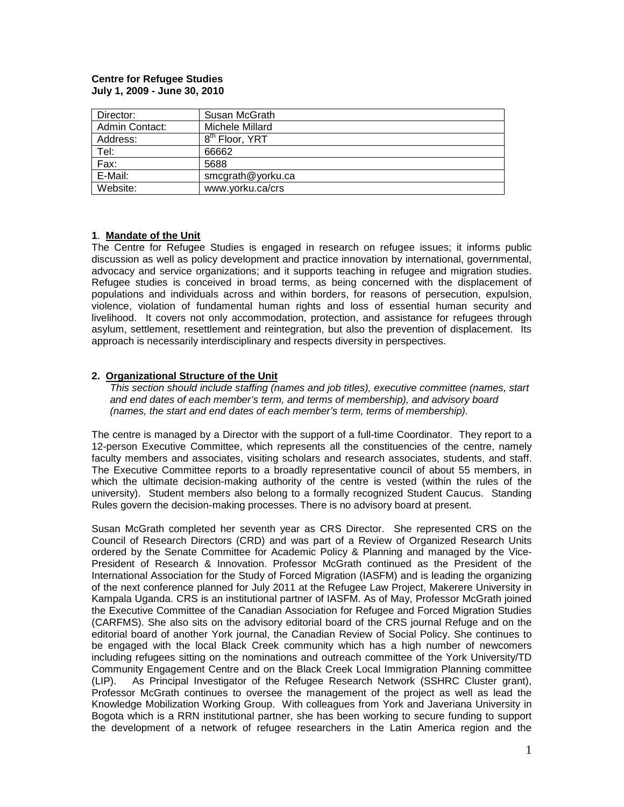#### **Centre for Refugee Studies July 1, 2009 - June 30, 2010**

| Director:      | Susan McGrath              |
|----------------|----------------------------|
| Admin Contact: | Michele Millard            |
| Address:       | 8 <sup>th</sup> Floor, YRT |
| Tel:           | 66662                      |
| Fax:           | 5688                       |
| E-Mail:        | smcgrath@yorku.ca          |
| Website:       | www.yorku.ca/crs           |

## **1**. **Mandate of the Unit**

The Centre for Refugee Studies is engaged in research on refugee issues; it informs public discussion as well as policy development and practice innovation by international, governmental, advocacy and service organizations; and it supports teaching in refugee and migration studies. Refugee studies is conceived in broad terms, as being concerned with the displacement of populations and individuals across and within borders, for reasons of persecution, expulsion, violence, violation of fundamental human rights and loss of essential human security and livelihood. It covers not only accommodation, protection, and assistance for refugees through asylum, settlement, resettlement and reintegration, but also the prevention of displacement. Its approach is necessarily interdisciplinary and respects diversity in perspectives.

## **2. Organizational Structure of the Unit**

*This section should include staffing (names and job titles), executive committee (names, start and end dates of each member's term, and terms of membership), and advisory board (names, the start and end dates of each member's term, terms of membership).*

The centre is managed by a Director with the support of a full-time Coordinator. They report to a 12-person Executive Committee, which represents all the constituencies of the centre, namely faculty members and associates, visiting scholars and research associates, students, and staff. The Executive Committee reports to a broadly representative council of about 55 members, in which the ultimate decision-making authority of the centre is vested (within the rules of the university). Student members also belong to a formally recognized Student Caucus. Standing Rules govern the decision-making processes. There is no advisory board at present.

Susan McGrath completed her seventh year as CRS Director. She represented CRS on the Council of Research Directors (CRD) and was part of a Review of Organized Research Units ordered by the Senate Committee for Academic Policy & Planning and managed by the Vice-President of Research & Innovation. Professor McGrath continued as the President of the International Association for the Study of Forced Migration (IASFM) and is leading the organizing of the next conference planned for July 2011 at the Refugee Law Project, Makerere University in Kampala Uganda. CRS is an institutional partner of IASFM. As of May, Professor McGrath joined the Executive Committee of the Canadian Association for Refugee and Forced Migration Studies (CARFMS). She also sits on the advisory editorial board of the CRS journal Refuge and on the editorial board of another York journal, the Canadian Review of Social Policy. She continues to be engaged with the local Black Creek community which has a high number of newcomers including refugees sitting on the nominations and outreach committee of the York University/TD Community Engagement Centre and on the Black Creek Local Immigration Planning committee (LIP). As Principal Investigator of the Refugee Research Network (SSHRC Cluster grant), Professor McGrath continues to oversee the management of the project as well as lead the Knowledge Mobilization Working Group. With colleagues from York and Javeriana University in Bogota which is a RRN institutional partner, she has been working to secure funding to support the development of a network of refugee researchers in the Latin America region and the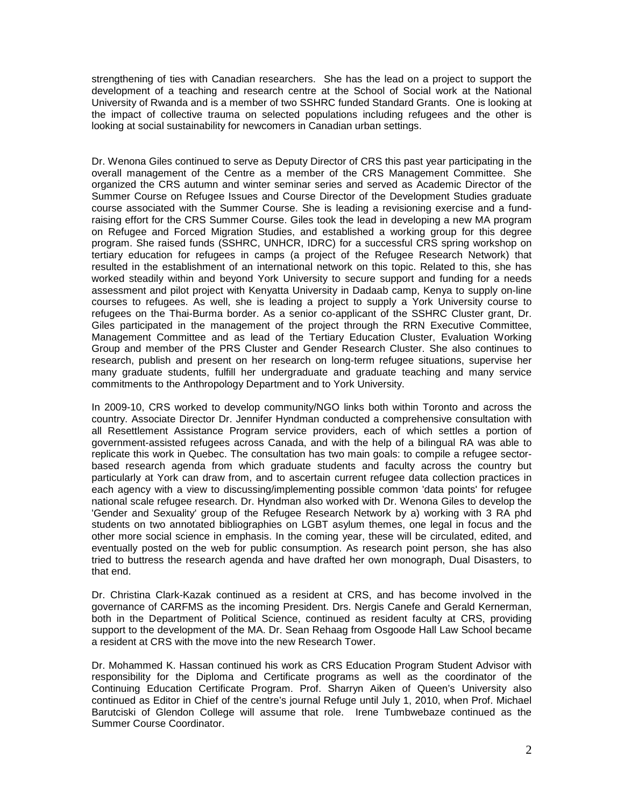strengthening of ties with Canadian researchers. She has the lead on a project to support the development of a teaching and research centre at the School of Social work at the National University of Rwanda and is a member of two SSHRC funded Standard Grants. One is looking at the impact of collective trauma on selected populations including refugees and the other is looking at social sustainability for newcomers in Canadian urban settings.

Dr. Wenona Giles continued to serve as Deputy Director of CRS this past year participating in the overall management of the Centre as a member of the CRS Management Committee. She organized the CRS autumn and winter seminar series and served as Academic Director of the Summer Course on Refugee Issues and Course Director of the Development Studies graduate course associated with the Summer Course. She is leading a revisioning exercise and a fundraising effort for the CRS Summer Course. Giles took the lead in developing a new MA program on Refugee and Forced Migration Studies, and established a working group for this degree program. She raised funds (SSHRC, UNHCR, IDRC) for a successful CRS spring workshop on tertiary education for refugees in camps (a project of the Refugee Research Network) that resulted in the establishment of an international network on this topic. Related to this, she has worked steadily within and beyond York University to secure support and funding for a needs assessment and pilot project with Kenyatta University in Dadaab camp, Kenya to supply on-line courses to refugees. As well, she is leading a project to supply a York University course to refugees on the Thai-Burma border. As a senior co-applicant of the SSHRC Cluster grant, Dr. Giles participated in the management of the project through the RRN Executive Committee, Management Committee and as lead of the Tertiary Education Cluster, Evaluation Working Group and member of the PRS Cluster and Gender Research Cluster. She also continues to research, publish and present on her research on long-term refugee situations, supervise her many graduate students, fulfill her undergraduate and graduate teaching and many service commitments to the Anthropology Department and to York University.

In 2009-10, CRS worked to develop community/NGO links both within Toronto and across the country. Associate Director Dr. Jennifer Hyndman conducted a comprehensive consultation with all Resettlement Assistance Program service providers, each of which settles a portion of government-assisted refugees across Canada, and with the help of a bilingual RA was able to replicate this work in Quebec. The consultation has two main goals: to compile a refugee sectorbased research agenda from which graduate students and faculty across the country but particularly at York can draw from, and to ascertain current refugee data collection practices in each agency with a view to discussing/implementing possible common 'data points' for refugee national scale refugee research. Dr. Hyndman also worked with Dr. Wenona Giles to develop the 'Gender and Sexuality' group of the Refugee Research Network by a) working with 3 RA phd students on two annotated bibliographies on LGBT asylum themes, one legal in focus and the other more social science in emphasis. In the coming year, these will be circulated, edited, and eventually posted on the web for public consumption. As research point person, she has also tried to buttress the research agenda and have drafted her own monograph, Dual Disasters, to that end.

Dr. Christina Clark-Kazak continued as a resident at CRS, and has become involved in the governance of CARFMS as the incoming President. Drs. Nergis Canefe and Gerald Kernerman, both in the Department of Political Science, continued as resident faculty at CRS, providing support to the development of the MA. Dr. Sean Rehaag from Osgoode Hall Law School became a resident at CRS with the move into the new Research Tower.

Dr. Mohammed K. Hassan continued his work as CRS Education Program Student Advisor with responsibility for the Diploma and Certificate programs as well as the coordinator of the Continuing Education Certificate Program. Prof. Sharryn Aiken of Queen's University also continued as Editor in Chief of the centre's journal Refuge until July 1, 2010, when Prof. Michael Barutciski of Glendon College will assume that role. Irene Tumbwebaze continued as the Summer Course Coordinator.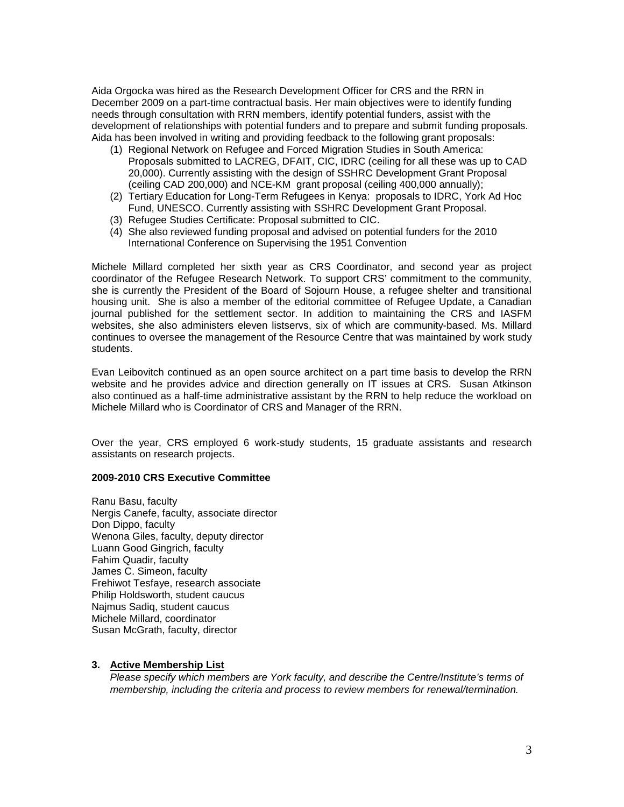Aida Orgocka was hired as the Research Development Officer for CRS and the RRN in December 2009 on a part-time contractual basis. Her main objectives were to identify funding needs through consultation with RRN members, identify potential funders, assist with the development of relationships with potential funders and to prepare and submit funding proposals. Aida has been involved in writing and providing feedback to the following grant proposals:

- (1) Regional Network on Refugee and Forced Migration Studies in South America: Proposals submitted to LACREG, DFAIT, CIC, IDRC (ceiling for all these was up to CAD 20,000). Currently assisting with the design of SSHRC Development Grant Proposal (ceiling CAD 200,000) and NCE-KM grant proposal (ceiling 400,000 annually);
- (2) Tertiary Education for Long-Term Refugees in Kenya: proposals to IDRC, York Ad Hoc Fund, UNESCO. Currently assisting with SSHRC Development Grant Proposal.
- (3) Refugee Studies Certificate: Proposal submitted to CIC.
- (4) She also reviewed funding proposal and advised on potential funders for the 2010 International Conference on Supervising the 1951 Convention

Michele Millard completed her sixth year as CRS Coordinator, and second year as project coordinator of the Refugee Research Network. To support CRS' commitment to the community, she is currently the President of the Board of Sojourn House, a refugee shelter and transitional housing unit. She is also a member of the editorial committee of Refugee Update, a Canadian journal published for the settlement sector. In addition to maintaining the CRS and IASFM websites, she also administers eleven listservs, six of which are community-based. Ms. Millard continues to oversee the management of the Resource Centre that was maintained by work study students.

Evan Leibovitch continued as an open source architect on a part time basis to develop the RRN website and he provides advice and direction generally on IT issues at CRS. Susan Atkinson also continued as a half-time administrative assistant by the RRN to help reduce the workload on Michele Millard who is Coordinator of CRS and Manager of the RRN.

Over the year, CRS employed 6 work-study students, 15 graduate assistants and research assistants on research projects.

#### **2009-2010 CRS Executive Committee**

Ranu Basu, faculty Nergis Canefe, faculty, associate director Don Dippo, faculty Wenona Giles, faculty, deputy director Luann Good Gingrich, faculty Fahim Quadir, faculty James C. Simeon, faculty Frehiwot Tesfaye, research associate Philip Holdsworth, student caucus Najmus Sadiq, student caucus Michele Millard, coordinator Susan McGrath, faculty, director

#### **3. Active Membership List**

*Please specify which members are York faculty, and describe the Centre/Institute's terms of membership, including the criteria and process to review members for renewal/termination.*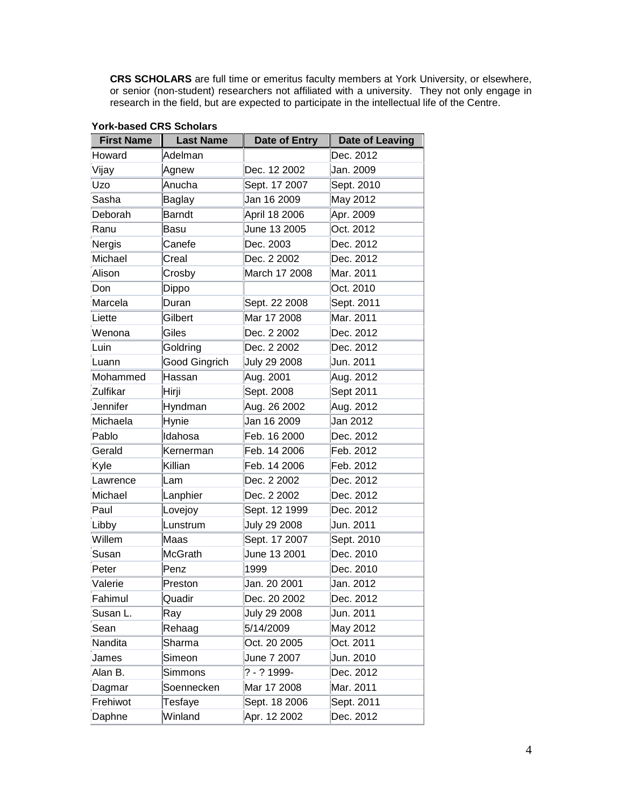**CRS SCHOLARS** are full time or emeritus faculty members at York University, or elsewhere, or senior (non-student) researchers not affiliated with a university. They not only engage in research in the field, but are expected to participate in the intellectual life of the Centre.

| <b>First Name</b> | <b>Last Name</b> | Date of Entry | <b>Date of Leaving</b> |
|-------------------|------------------|---------------|------------------------|
| Howard            | Adelman          |               | Dec. 2012              |
| Vijay             | Agnew            | Dec. 12 2002  | Jan. 2009              |
| Uzo               | Anucha           | Sept. 17 2007 | Sept. 2010             |
| Sasha             | Baglay           | Jan 16 2009   | May 2012               |
| Deborah           | <b>Barndt</b>    | April 18 2006 | Apr. 2009              |
| Ranu              | Basu             | June 13 2005  | Oct. 2012              |
| Nergis            | Canefe           | Dec. 2003     | Dec. 2012              |
| Michael           | Creal            | Dec. 2 2002   | Dec. 2012              |
| Alison            | Crosby           | March 17 2008 | Mar. 2011              |
| Don               | Dippo            |               | Oct. 2010              |
| Marcela           | Duran            | Sept. 22 2008 | Sept. 2011             |
| Liette            | Gilbert          | Mar 17 2008   | Mar. 2011              |
| Wenona            | Giles            | Dec. 2 2002   | Dec. 2012              |
| Luin              | Goldring         | Dec. 2 2002   | Dec. 2012              |
| Luann             | Good Gingrich    | July 29 2008  | Jun. 2011              |
| Mohammed          | Hassan           | Aug. 2001     | Aug. 2012              |
| Zulfikar          | Hirji            | Sept. 2008    | Sept 2011              |
| Jennifer          | Hyndman          | Aug. 26 2002  | Aug. 2012              |
| Michaela          | Hynie            | Jan 16 2009   | Jan 2012               |
| Pablo             | Idahosa          | Feb. 16 2000  | Dec. 2012              |
| Gerald            | Kernerman        | Feb. 14 2006  | Feb. 2012              |
| Kyle              | Killian          | Feb. 14 2006  | Feb. 2012              |
| Lawrence          | Lam              | Dec. 2 2002   | Dec. 2012              |
| Michael           | Lanphier         | Dec. 2 2002   | Dec. 2012              |
| Paul              | Lovejoy          | Sept. 12 1999 | Dec. 2012              |
| Libby             | Lunstrum         | July 29 2008  | Jun. 2011              |
| Willem            | Maas             | Sept. 17 2007 | Sept. 2010             |
| Susan             | <b>McGrath</b>   | June 13 2001  | Dec. 2010              |
| Peter             | Penz             | 1999          | Dec. 2010              |
| Valerie           | Preston          | Jan. 20 2001  | Jan. 2012              |
| Fahimul           | Quadir           | Dec. 20 2002  | Dec. 2012              |
| Susan L.          | Ray              | July 29 2008  | Jun. 2011              |
| Sean              | Rehaag           | 5/14/2009     | May 2012               |
| Nandita           | Sharma           | Oct. 20 2005  | Oct. 2011              |
| James             | Simeon           | June 7 2007   | Jun. 2010              |
| Alan B.           | Simmons          | ? - ? 1999-   | Dec. 2012              |
| Dagmar            | Soennecken       | Mar 17 2008   | Mar. 2011              |
| Frehiwot          | Tesfaye          | Sept. 18 2006 | Sept. 2011             |
| Daphne            | Winland          | Apr. 12 2002  | Dec. 2012              |

#### **York-based CRS Scholars**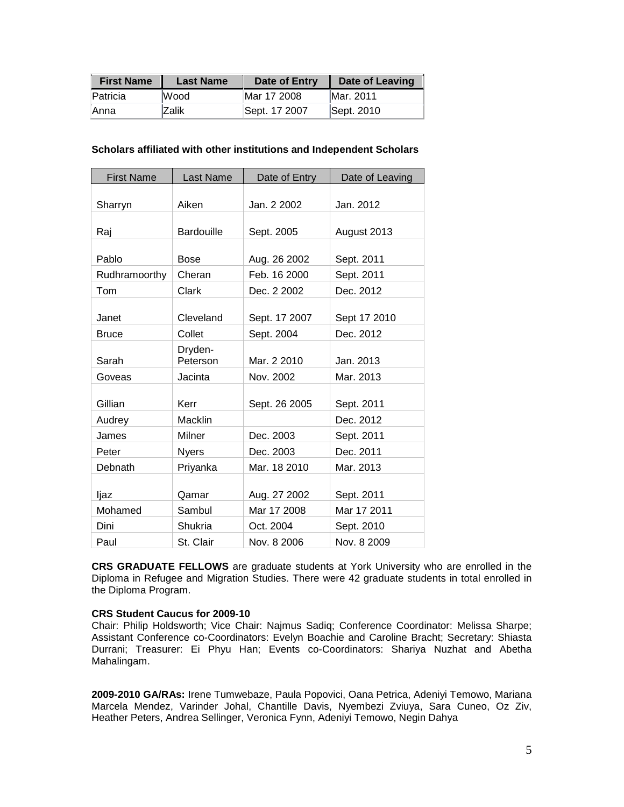| <b>First Name</b> | <b>Last Name</b> | Date of Entry | Date of Leaving |
|-------------------|------------------|---------------|-----------------|
| Patricia          | <b>Wood</b>      | Mar 17 2008   | Mar. 2011       |
| <b>Anna</b>       | IZalik           | Sept. 17 2007 | Sept. 2010      |

| <b>First Name</b> | <b>Last Name</b>  | Date of Entry | Date of Leaving |
|-------------------|-------------------|---------------|-----------------|
|                   |                   |               |                 |
| Sharryn           | Aiken             | Jan. 2 2002   | Jan. 2012       |
|                   |                   |               |                 |
| Raj               | <b>Bardouille</b> | Sept. 2005    | August 2013     |
| Pablo             | Bose              | Aug. 26 2002  | Sept. 2011      |
|                   |                   |               |                 |
| Rudhramoorthy     | Cheran            | Feb. 16 2000  | Sept. 2011      |
| Tom               | Clark             | Dec. 2 2002   | Dec. 2012       |
|                   |                   |               |                 |
| Janet             | Cleveland         | Sept. 17 2007 | Sept 17 2010    |
| <b>Bruce</b>      | Collet            | Sept. 2004    | Dec. 2012       |
|                   | Dryden-           |               |                 |
| Sarah             | Peterson          | Mar. 2 2010   | Jan. 2013       |
| Goveas            | Jacinta           | Nov. 2002     | Mar. 2013       |
|                   |                   |               |                 |
| Gillian           | Kerr              | Sept. 26 2005 | Sept. 2011      |
| Audrey            | Macklin           |               | Dec. 2012       |
| James             | Milner            | Dec. 2003     | Sept. 2011      |
| Peter             | <b>Nyers</b>      | Dec. 2003     | Dec. 2011       |
| Debnath           | Priyanka          | Mar. 18 2010  | Mar. 2013       |
|                   |                   |               |                 |
| ljaz              | Qamar             | Aug. 27 2002  | Sept. 2011      |
| Mohamed           | Sambul            | Mar 17 2008   | Mar 17 2011     |
| Dini              | Shukria           | Oct. 2004     | Sept. 2010      |
| Paul              | St. Clair         | Nov. 8 2006   | Nov. 8 2009     |

**CRS GRADUATE FELLOWS** are graduate students at York University who are enrolled in the Diploma in Refugee and Migration Studies. There were 42 graduate students in total enrolled in the Diploma Program.

#### **CRS Student Caucus for 2009-10**

Chair: Philip Holdsworth; Vice Chair: Najmus Sadiq; Conference Coordinator: Melissa Sharpe; Assistant Conference co-Coordinators: Evelyn Boachie and Caroline Bracht; Secretary: Shiasta Durrani; Treasurer: Ei Phyu Han; Events co-Coordinators: Shariya Nuzhat and Abetha Mahalingam.

**2009-2010 GA/RAs:** Irene Tumwebaze, Paula Popovici, Oana Petrica, Adeniyi Temowo, Mariana Marcela Mendez, Varinder Johal, Chantille Davis, Nyembezi Zviuya, Sara Cuneo, Oz Ziv, Heather Peters, Andrea Sellinger, Veronica Fynn, Adeniyi Temowo, Negin Dahya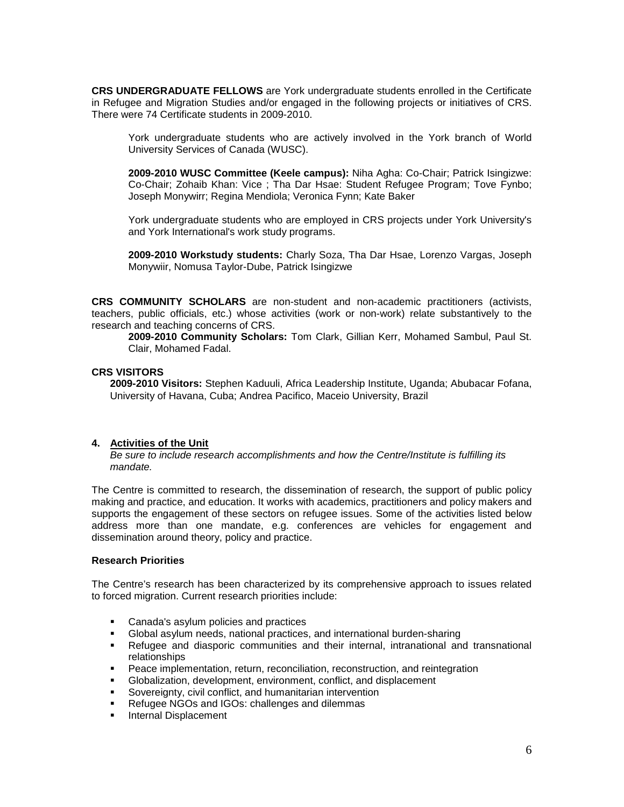**CRS UNDERGRADUATE FELLOWS** are York undergraduate students enrolled in the Certificate in Refugee and Migration Studies and/or engaged in the following projects or initiatives of CRS. There were 74 Certificate students in 2009-2010.

York undergraduate students who are actively involved in the York branch of World University Services of Canada (WUSC).

**2009-2010 WUSC Committee (Keele campus):** Niha Agha: Co-Chair; Patrick Isingizwe: Co-Chair; Zohaib Khan: Vice ; Tha Dar Hsae: Student Refugee Program; Tove Fynbo; Joseph Monywirr; Regina Mendiola; Veronica Fynn; Kate Baker

York undergraduate students who are employed in CRS projects under York University's and York International's work study programs.

**2009-2010 Workstudy students:** Charly Soza, Tha Dar Hsae, Lorenzo Vargas, Joseph Monywiir, Nomusa Taylor-Dube, Patrick Isingizwe

**CRS COMMUNITY SCHOLARS** are non-student and non-academic practitioners (activists, teachers, public officials, etc.) whose activities (work or non-work) relate substantively to the research and teaching concerns of CRS.

**2009-2010 Community Scholars:** Tom Clark, Gillian Kerr, Mohamed Sambul, Paul St. Clair, Mohamed Fadal.

#### **CRS VISITORS**

**2009-2010 Visitors:** Stephen Kaduuli, Africa Leadership Institute, Uganda; Abubacar Fofana, University of Havana, Cuba; Andrea Pacifico, Maceio University, Brazil

#### **4. Activities of the Unit**

*Be sure to include research accomplishments and how the Centre/Institute is fulfilling its mandate.*

The Centre is committed to research, the dissemination of research, the support of public policy making and practice, and education. It works with academics, practitioners and policy makers and supports the engagement of these sectors on refugee issues. Some of the activities listed below address more than one mandate, e.g. conferences are vehicles for engagement and dissemination around theory, policy and practice.

#### **Research Priorities**

The Centre's research has been characterized by its comprehensive approach to issues related to forced migration. Current research priorities include:

- **Canada's asylum policies and practices**
- Global asylum needs, national practices, and international burden-sharing
- Refugee and diasporic communities and their internal, intranational and transnational relationships
- Peace implementation, return, reconciliation, reconstruction, and reintegration
- Globalization, development, environment, conflict, and displacement
- Sovereignty, civil conflict, and humanitarian intervention
- Refugee NGOs and IGOs: challenges and dilemmas
- **Internal Displacement**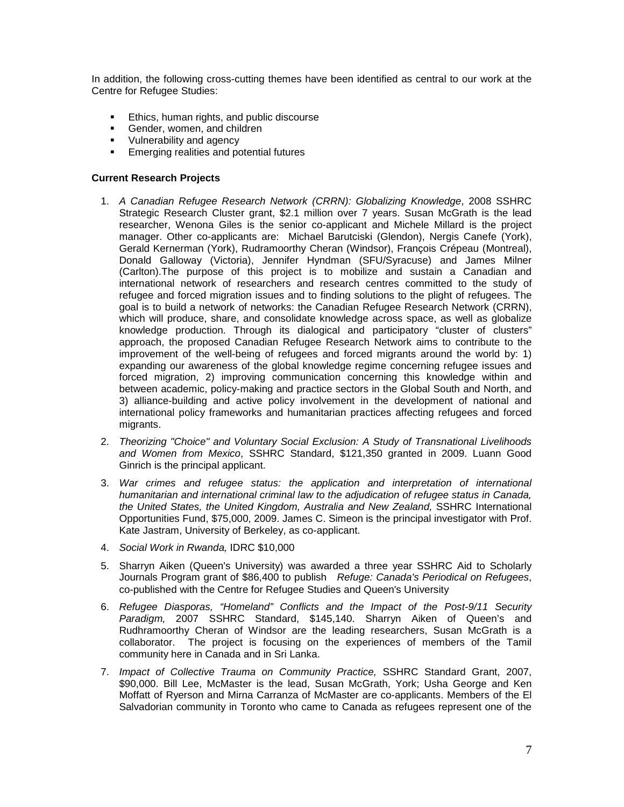In addition, the following cross-cutting themes have been identified as central to our work at the Centre for Refugee Studies:

- **Ethics, human rights, and public discourse**
- Gender, women, and children
- Vulnerability and agency
- **Emerging realities and potential futures**

#### **Current Research Projects**

- 1. *A Canadian Refugee Research Network (CRRN): Globalizing Knowledge*, 2008 SSHRC Strategic Research Cluster grant, \$2.1 million over 7 years. Susan McGrath is the lead researcher, Wenona Giles is the senior co-applicant and Michele Millard is the project manager. Other co-applicants are: Michael Barutciski (Glendon), Nergis Canefe (York), Gerald Kernerman (York), Rudramoorthy Cheran (Windsor), François Crépeau (Montreal), Donald Galloway (Victoria), Jennifer Hyndman (SFU/Syracuse) and James Milner (Carlton).The purpose of this project is to mobilize and sustain a Canadian and international network of researchers and research centres committed to the study of refugee and forced migration issues and to finding solutions to the plight of refugees. The goal is to build a network of networks: the Canadian Refugee Research Network (CRRN), which will produce, share, and consolidate knowledge across space, as well as globalize knowledge production. Through its dialogical and participatory "cluster of clusters" approach, the proposed Canadian Refugee Research Network aims to contribute to the improvement of the well-being of refugees and forced migrants around the world by: 1) expanding our awareness of the global knowledge regime concerning refugee issues and forced migration, 2) improving communication concerning this knowledge within and between academic, policy-making and practice sectors in the Global South and North, and 3) alliance-building and active policy involvement in the development of national and international policy frameworks and humanitarian practices affecting refugees and forced migrants.
- 2. *Theorizing "Choice" and Voluntary Social Exclusion: A Study of Transnational Livelihoods and Women from Mexico*, SSHRC Standard, \$121,350 granted in 2009. Luann Good Ginrich is the principal applicant.
- 3. *War crimes and refugee status: the application and interpretation of international humanitarian and international criminal law to the adjudication of refugee status in Canada, the United States, the United Kingdom, Australia and New Zealand,* SSHRC International Opportunities Fund, \$75,000, 2009. James C. Simeon is the principal investigator with Prof. Kate Jastram, University of Berkeley, as co-applicant.
- 4. *Social Work in Rwanda,* IDRC \$10,000
- 5. Sharryn Aiken (Queen's University) was awarded a three year SSHRC Aid to Scholarly Journals Program grant of \$86,400 to publish *Refuge: Canada's Periodical on Refugees*, co-published with the Centre for Refugee Studies and Queen's University
- 6. *Refugee Diasporas, "Homeland" Conflicts and the Impact of the Post-9/11 Security Paradigm,* 2007 SSHRC Standard, \$145,140. Sharryn Aiken of Queen's and Rudhramoorthy Cheran of Windsor are the leading researchers, Susan McGrath is a collaborator. The project is focusing on the experiences of members of the Tamil community here in Canada and in Sri Lanka.
- 7. *Impact of Collective Trauma on Community Practice,* SSHRC Standard Grant, 2007, \$90,000. Bill Lee, McMaster is the lead, Susan McGrath, York; Usha George and Ken Moffatt of Ryerson and Mirna Carranza of McMaster are co-applicants. Members of the El Salvadorian community in Toronto who came to Canada as refugees represent one of the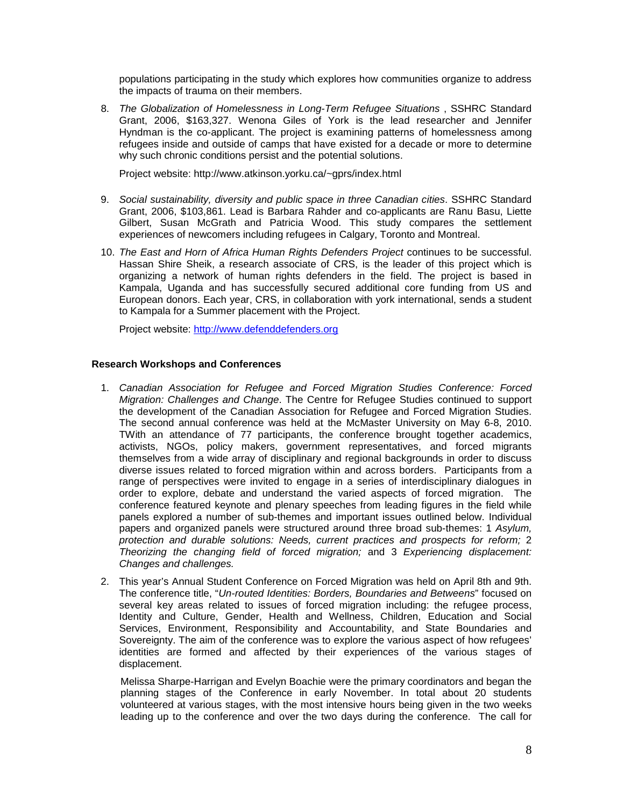populations participating in the study which explores how communities organize to address the impacts of trauma on their members.

8. *The Globalization of Homelessness in Long-Term Refugee Situations*, SSHRC Standard Grant, 2006, \$163,327. Wenona Giles of York is the lead researcher and Jennifer Hyndman is the co-applicant. The project is examining patterns of homelessness among refugees inside and outside of camps that have existed for a decade or more to determine why such chronic conditions persist and the potential solutions.

Project website: http://www.atkinson.yorku.ca/~gprs/index.html

- 9. *Social sustainability, diversity and public space in three Canadian cities*. SSHRC Standard Grant, 2006, \$103,861. Lead is Barbara Rahder and co-applicants are Ranu Basu, Liette Gilbert, Susan McGrath and Patricia Wood. This study compares the settlement experiences of newcomers including refugees in Calgary, Toronto and Montreal.
- 10. *The East and Horn of Africa Human Rights Defenders Project* continues to be successful. Hassan Shire Sheik, a research associate of CRS, is the leader of this project which is organizing a network of human rights defenders in the field. The project is based in Kampala, Uganda and has successfully secured additional core funding from US and European donors. Each year, CRS, in collaboration with york international, sends a student to Kampala for a Summer placement with the Project.

Project website: [http://www.defenddefenders.org](http://www.defenddefenders.org/)

#### **Research Workshops and Conferences**

- 1. *Canadian Association for Refugee and Forced Migration Studies Conference: Forced Migration: Challenges and Change*. The Centre for Refugee Studies continued to support the development of the Canadian Association for Refugee and Forced Migration Studies. The second annual conference was held at the McMaster University on May 6-8, 2010. TWith an attendance of 77 participants, the conference brought together academics, activists, NGOs, policy makers, government representatives, and forced migrants themselves from a wide array of disciplinary and regional backgrounds in order to discuss diverse issues related to forced migration within and across borders. Participants from a range of perspectives were invited to engage in a series of interdisciplinary dialogues in order to explore, debate and understand the varied aspects of forced migration. The conference featured keynote and plenary speeches from leading figures in the field while panels explored a number of sub-themes and important issues outlined below. Individual papers and organized panels were structured around three broad sub-themes: 1 *Asylum, protection and durable solutions: Needs, current practices and prospects for reform;* 2 *Theorizing the changing field of forced migration;* and 3 *Experiencing displacement: Changes and challenges.*
- 2. This year's Annual Student Conference on Forced Migration was held on April 8th and 9th. The conference title, "*Un-routed Identities: Borders, Boundaries and Betweens*" focused on several key areas related to issues of forced migration including: the refugee process, Identity and Culture, Gender, Health and Wellness, Children, Education and Social Services, Environment, Responsibility and Accountability, and State Boundaries and Sovereignty. The aim of the conference was to explore the various aspect of how refugees' identities are formed and affected by their experiences of the various stages of displacement.

Melissa Sharpe-Harrigan and Evelyn Boachie were the primary coordinators and began the planning stages of the Conference in early November. In total about 20 students volunteered at various stages, with the most intensive hours being given in the two weeks leading up to the conference and over the two days during the conference. The call for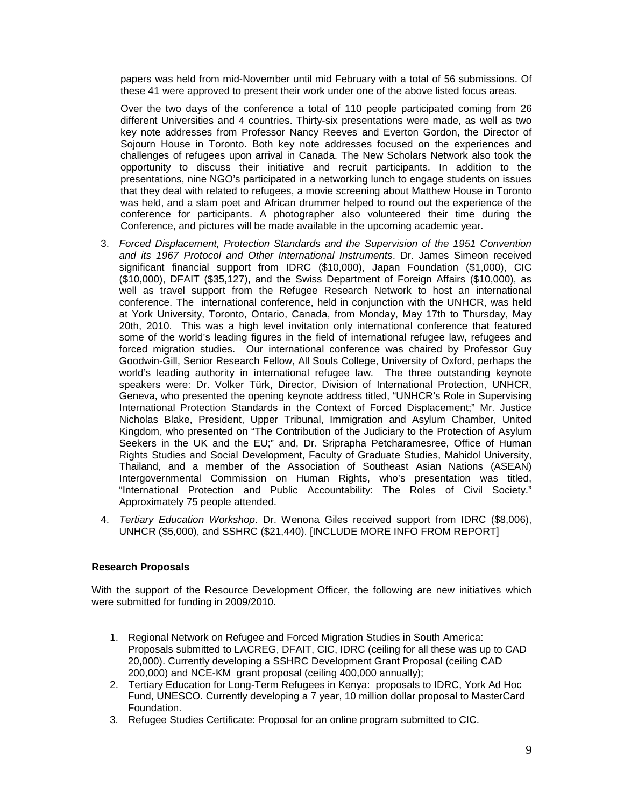papers was held from mid-November until mid February with a total of 56 submissions. Of these 41 were approved to present their work under one of the above listed focus areas.

Over the two days of the conference a total of 110 people participated coming from 26 different Universities and 4 countries. Thirty-six presentations were made, as well as two key note addresses from Professor Nancy Reeves and Everton Gordon, the Director of Sojourn House in Toronto. Both key note addresses focused on the experiences and challenges of refugees upon arrival in Canada. The New Scholars Network also took the opportunity to discuss their initiative and recruit participants. In addition to the presentations, nine NGO's participated in a networking lunch to engage students on issues that they deal with related to refugees, a movie screening about Matthew House in Toronto was held, and a slam poet and African drummer helped to round out the experience of the conference for participants. A photographer also volunteered their time during the Conference, and pictures will be made available in the upcoming academic year.

- 3. *Forced Displacement, Protection Standards and the Supervision of the 1951 Convention and its 1967 Protocol and Other International Instruments*. Dr. James Simeon received significant financial support from IDRC (\$10,000), Japan Foundation (\$1,000), CIC (\$10,000), DFAIT (\$35,127), and the Swiss Department of Foreign Affairs (\$10,000), as well as travel support from the Refugee Research Network to host an international conference. The international conference, held in conjunction with the UNHCR, was held at York University, Toronto, Ontario, Canada, from Monday, May 17th to Thursday, May 20th, 2010. This was a high level invitation only international conference that featured some of the world's leading figures in the field of international refugee law, refugees and forced migration studies. Our international conference was chaired by Professor Guy Goodwin-Gill, Senior Research Fellow, All Souls College, University of Oxford, perhaps the world's leading authority in international refugee law. The three outstanding keynote speakers were: Dr. Volker Türk, Director, Division of International Protection, UNHCR, Geneva, who presented the opening keynote address titled, "UNHCR's Role in Supervising International Protection Standards in the Context of Forced Displacement;" Mr. Justice Nicholas Blake, President, Upper Tribunal, Immigration and Asylum Chamber, United Kingdom, who presented on "The Contribution of the Judiciary to the Protection of Asylum Seekers in the UK and the EU;" and, Dr. Sriprapha Petcharamesree, Office of Human Rights Studies and Social Development, Faculty of Graduate Studies, Mahidol University, Thailand, and a member of the Association of Southeast Asian Nations (ASEAN) Intergovernmental Commission on Human Rights, who's presentation was titled, "International Protection and Public Accountability: The Roles of Civil Society." Approximately 75 people attended.
- 4. *Tertiary Education Workshop*. Dr. Wenona Giles received support from IDRC (\$8,006), UNHCR (\$5,000), and SSHRC (\$21,440). [INCLUDE MORE INFO FROM REPORT]

## **Research Proposals**

With the support of the Resource Development Officer, the following are new initiatives which were submitted for funding in 2009/2010.

- 1. Regional Network on Refugee and Forced Migration Studies in South America: Proposals submitted to LACREG, DFAIT, CIC, IDRC (ceiling for all these was up to CAD 20,000). Currently developing a SSHRC Development Grant Proposal (ceiling CAD 200,000) and NCE-KM grant proposal (ceiling 400,000 annually);
- 2. Tertiary Education for Long-Term Refugees in Kenya: proposals to IDRC, York Ad Hoc Fund, UNESCO. Currently developing a 7 year, 10 million dollar proposal to MasterCard Foundation.
- 3. Refugee Studies Certificate: Proposal for an online program submitted to CIC.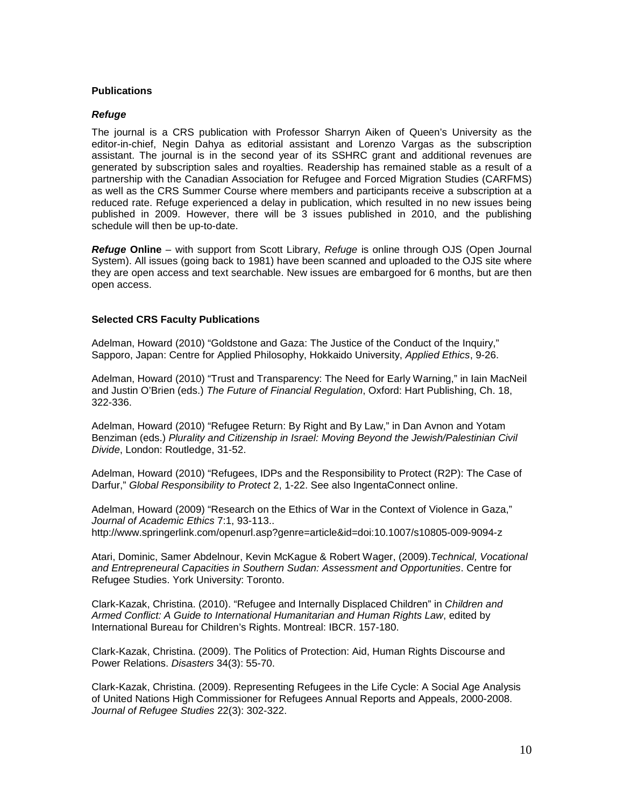#### **Publications**

#### *Refuge*

The journal is a CRS publication with Professor Sharryn Aiken of Queen's University as the editor-in-chief, Negin Dahya as editorial assistant and Lorenzo Vargas as the subscription assistant. The journal is in the second year of its SSHRC grant and additional revenues are generated by subscription sales and royalties. Readership has remained stable as a result of a partnership with the Canadian Association for Refugee and Forced Migration Studies (CARFMS) as well as the CRS Summer Course where members and participants receive a subscription at a reduced rate. Refuge experienced a delay in publication, which resulted in no new issues being published in 2009. However, there will be 3 issues published in 2010, and the publishing schedule will then be up-to-date.

*Refuge* **Online** – with support from Scott Library, *Refuge* is online through OJS (Open Journal System). All issues (going back to 1981) have been scanned and uploaded to the OJS site where they are open access and text searchable. New issues are embargoed for 6 months, but are then open access.

#### **Selected CRS Faculty Publications**

Adelman, Howard (2010) "Goldstone and Gaza: The Justice of the Conduct of the Inquiry," Sapporo, Japan: Centre for Applied Philosophy, Hokkaido University, *Applied Ethics*, 9-26.

Adelman, Howard (2010) "Trust and Transparency: The Need for Early Warning," in Iain MacNeil and Justin O'Brien (eds.) *The Future of Financial Regulation*, Oxford: Hart Publishing, Ch. 18, 322-336.

Adelman, Howard (2010) "Refugee Return: By Right and By Law," in Dan Avnon and Yotam Benziman (eds.) *Plurality and Citizenship in Israel: Moving Beyond the Jewish/Palestinian Civil Divide*, London: Routledge, 31-52.

Adelman, Howard (2010) "Refugees, IDPs and the Responsibility to Protect (R2P): The Case of Darfur," *Global Responsibility to Protect* 2, 1-22. See also IngentaConnect online.

Adelman, Howard (2009) "Research on the Ethics of War in the Context of Violence in Gaza," *Journal of Academic Ethics* 7:1, 93-113.. http://www.springerlink.com/openurl.asp?genre=article&id=doi:10.1007/s10805-009-9094-z

Atari, Dominic, Samer Abdelnour, Kevin McKague & Robert Wager, (2009).*Technical, Vocational and Entrepreneural Capacities in Southern Sudan: Assessment and Opportunities*. Centre for Refugee Studies. York University: Toronto.

Clark-Kazak, Christina. (2010). "Refugee and Internally Displaced Children" in *Children and Armed Conflict: A Guide to International Humanitarian and Human Rights Law*, edited by International Bureau for Children's Rights. Montreal: IBCR. 157-180.

Clark-Kazak, Christina. (2009). The Politics of Protection: Aid, Human Rights Discourse and Power Relations. *Disasters* 34(3): 55-70.

Clark-Kazak, Christina. (2009). Representing Refugees in the Life Cycle: A Social Age Analysis of United Nations High Commissioner for Refugees Annual Reports and Appeals, 2000-2008. *Journal of Refugee Studies* 22(3): 302-322.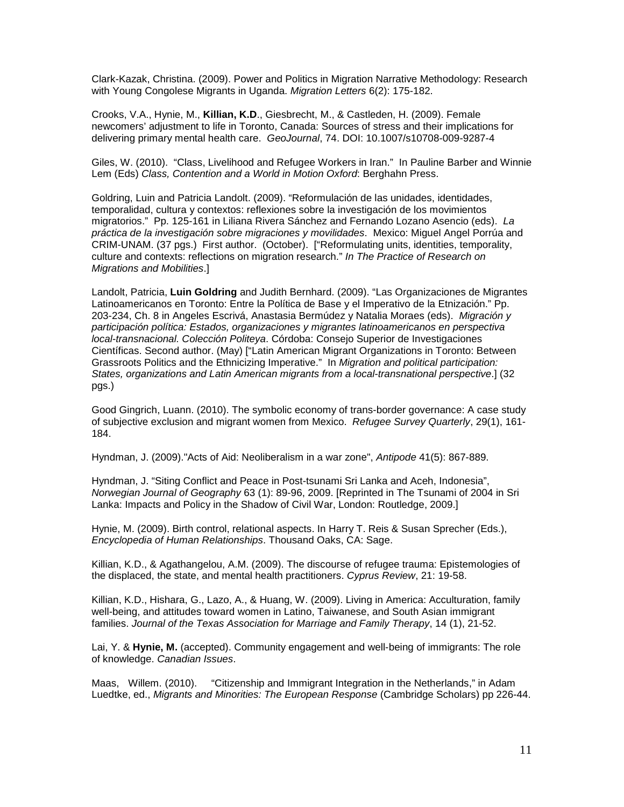Clark-Kazak, Christina. (2009). Power and Politics in Migration Narrative Methodology: Research with Young Congolese Migrants in Uganda. *Migration Letters* 6(2): 175-182.

Crooks, V.A., Hynie, M., **Killian, K.D**., Giesbrecht, M., & Castleden, H. (2009). Female newcomers' adjustment to life in Toronto, Canada: Sources of stress and their implications for delivering primary mental health care. *GeoJournal*, 74. DOI: 10.1007/s10708-009-9287-4

Giles, W. (2010). "Class, Livelihood and Refugee Workers in Iran." In Pauline Barber and Winnie Lem (Eds) *Class, Contention and a World in Motion Oxford*: Berghahn Press.

Goldring, Luin and Patricia Landolt. (2009). "Reformulación de las unidades, identidades, temporalidad, cultura y contextos: reflexiones sobre la investigación de los movimientos migratorios." Pp. 125-161 in Liliana Rivera Sánchez and Fernando Lozano Asencio (eds). *La práctica de la investigación sobre migraciones y movilidades*. Mexico: Miguel Angel Porrúa and CRIM-UNAM. (37 pgs.) First author. (October). ["Reformulating units, identities, temporality, culture and contexts: reflections on migration research." *In The Practice of Research on Migrations and Mobilities*.]

Landolt, Patricia, **Luin Goldring** and Judith Bernhard. (2009). "Las Organizaciones de Migrantes Latinoamericanos en Toronto: Entre la Política de Base y el Imperativo de la Etnización." Pp. 203-234, Ch. 8 in Angeles Escrivá, Anastasia Bermúdez y Natalia Moraes (eds). *Migración y participación política: Estados, organizaciones y migrantes latinoamericanos en perspectiva local-transnacional. Colección Politeya*. Córdoba: Consejo Superior de Investigaciones Científicas. Second author. (May) ["Latin American Migrant Organizations in Toronto: Between Grassroots Politics and the Ethnicizing Imperative." In *Migration and political participation: States, organizations and Latin American migrants from a local-transnational perspective*.] (32 pgs.)

Good Gingrich, Luann. (2010). The symbolic economy of trans-border governance: A case study of subjective exclusion and migrant women from Mexico. *Refugee Survey Quarterly*, 29(1), 161- 184.

Hyndman, J. (2009)."Acts of Aid: Neoliberalism in a war zone", *Antipode* 41(5): 867-889.

Hyndman, J. "Siting Conflict and Peace in Post-tsunami Sri Lanka and Aceh, Indonesia", *Norwegian Journal of Geography* 63 (1): 89-96, 2009. [Reprinted in The Tsunami of 2004 in Sri Lanka: Impacts and Policy in the Shadow of Civil War, London: Routledge, 2009.]

Hynie, M. (2009). Birth control, relational aspects. In Harry T. Reis & Susan Sprecher (Eds.), *Encyclopedia of Human Relationships*. Thousand Oaks, CA: Sage.

Killian, K.D., & Agathangelou, A.M. (2009). The discourse of refugee trauma: Epistemologies of the displaced, the state, and mental health practitioners. *Cyprus Review*, 21: 19-58.

Killian, K.D., Hishara, G., Lazo, A., & Huang, W. (2009). Living in America: Acculturation, family well-being, and attitudes toward women in Latino, Taiwanese, and South Asian immigrant families. *Journal of the Texas Association for Marriage and Family Therapy*, 14 (1), 21-52.

Lai, Y. & **Hynie, M.** (accepted). Community engagement and well-being of immigrants: The role of knowledge. *Canadian Issues*.

Maas, Willem. (2010). "Citizenship and Immigrant Integration in the Netherlands," in Adam Luedtke, ed., *Migrants and Minorities: The European Response* (Cambridge Scholars) pp 226-44.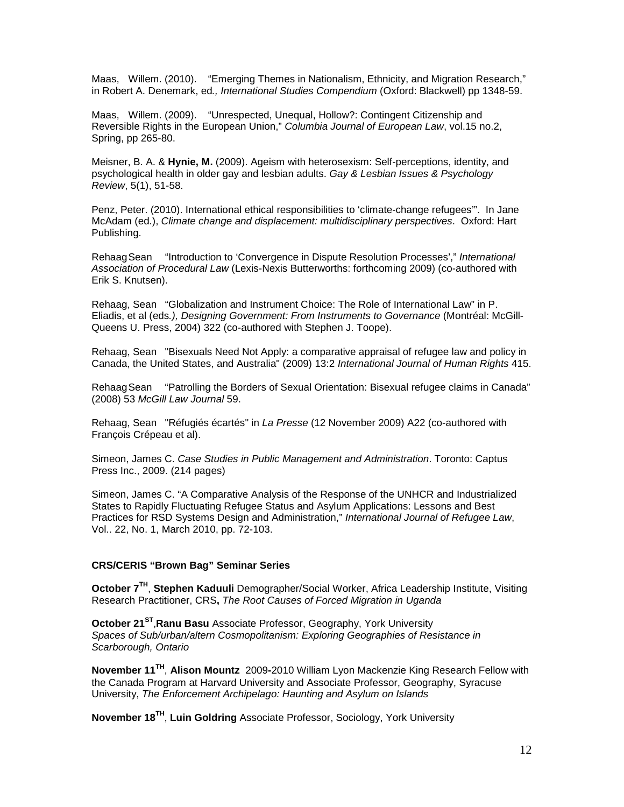Maas, Willem. (2010). "Emerging Themes in Nationalism, Ethnicity, and Migration Research," in Robert A. Denemark, ed*., International Studies Compendium* (Oxford: Blackwell) pp 1348-59.

Maas, Willem. (2009). "Unrespected, Unequal, Hollow?: Contingent Citizenship and Reversible Rights in the European Union," *Columbia Journal of European Law*, vol.15 no.2, Spring, pp 265-80.

Meisner, B. A. & **Hynie, M.** (2009). Ageism with heterosexism: Self-perceptions, identity, and psychological health in older gay and lesbian adults. *Gay & Lesbian Issues & Psychology Review*, 5(1), 51-58.

Penz, Peter. (2010). International ethical responsibilities to 'climate-change refugees'". In Jane McAdam (ed.), *Climate change and displacement: multidisciplinary perspectives*. Oxford: Hart Publishing.

RehaagSean "Introduction to 'Convergence in Dispute Resolution Processes'," *International Association of Procedural Law* (Lexis-Nexis Butterworths: forthcoming 2009) (co-authored with Erik S. Knutsen).

Rehaag, Sean "Globalization and Instrument Choice: The Role of International Law" in P. Eliadis, et al (eds*.), Designing Government: From Instruments to Governance* (Montréal: McGill-Queens U. Press, 2004) 322 (co-authored with Stephen J. Toope).

Rehaag, Sean "Bisexuals Need Not Apply: a comparative appraisal of refugee law and policy in Canada, the United States, and Australia" (2009) 13:2 *International Journal of Human Rights* 415.

RehaagSean "Patrolling the Borders of Sexual Orientation: Bisexual refugee claims in Canada" (2008) 53 *McGill Law Journal* 59.

Rehaag, Sean "Réfugiés écartés" in *La Presse* (12 November 2009) A22 (co-authored with François Crépeau et al).

Simeon, James C. *Case Studies in Public Management and Administration*. Toronto: Captus Press Inc., 2009. (214 pages)

Simeon, James C. "A Comparative Analysis of the Response of the UNHCR and Industrialized States to Rapidly Fluctuating Refugee Status and Asylum Applications: Lessons and Best Practices for RSD Systems Design and Administration," *International Journal of Refugee Law*, Vol.. 22, No. 1, March 2010, pp. 72-103.

#### **CRS/CERIS "Brown Bag" Seminar Series**

**October 7TH**, **Stephen Kaduuli** Demographer/Social Worker, Africa Leadership Institute, Visiting Research Practitioner, CRS**,** *The Root Causes of Forced Migration in Uganda*

**October 21ST**,**Ranu Basu** Associate Professor, Geography, York University *Spaces of Sub/urban/altern Cosmopolitanism: Exploring Geographies of Resistance in Scarborough, Ontario*

**November 11TH**, **Alison Mountz** 2009**-**2010 William Lyon Mackenzie King Research Fellow with the Canada Program at Harvard University and Associate Professor, Geography, Syracuse University, *The Enforcement Archipelago: Haunting and Asylum on Islands*

**November 18TH**, **Luin Goldring** Associate Professor, Sociology, York University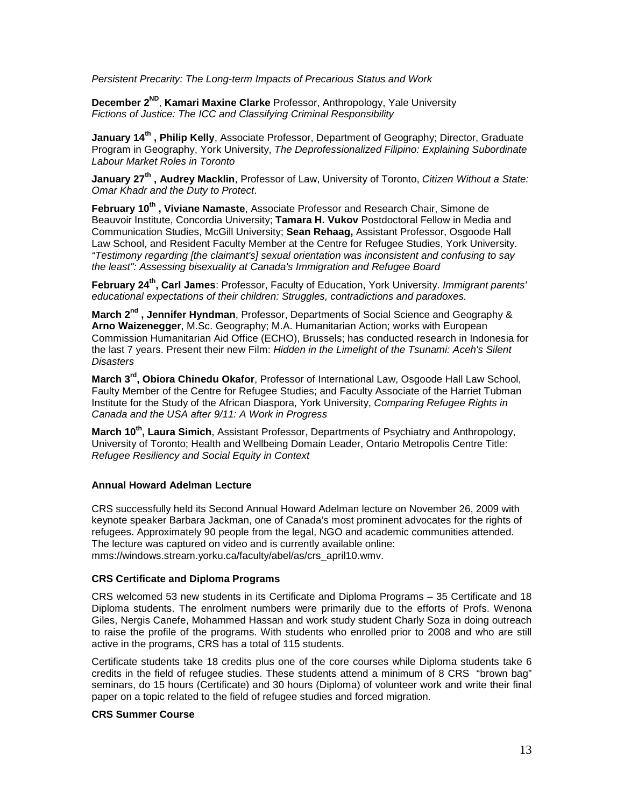*Persistent Precarity: The Long-term Impacts of Precarious Status and Work*

**December 2ND**, **Kamari Maxine Clarke** Professor, Anthropology, Yale University *Fictions of Justice: The ICC and Classifying Criminal Responsibility*

**January 14th , Philip Kelly**, Associate Professor, Department of Geography; Director, Graduate Program in Geography, York University, *The Deprofessionalized Filipino: Explaining Subordinate Labour Market Roles in Toronto*

**January 27th , Audrey Macklin**, Professor of Law, University of Toronto, *Citizen Without a State: Omar Khadr and the Duty to Protect*.

**February 10th , Viviane Namaste**, Associate Professor and Research Chair, Simone de Beauvoir Institute, Concordia University; **Tamara H. Vukov** Postdoctoral Fellow in Media and Communication Studies, McGill University; **Sean Rehaag,** Assistant Professor, Osgoode Hall Law School, and Resident Faculty Member at the Centre for Refugee Studies, York University. *"Testimony regarding [the claimant's] sexual orientation was inconsistent and confusing to say the least": Assessing bisexuality at Canada's Immigration and Refugee Board*

**February 24th, Carl James**: Professor, Faculty of Education, York University. *Immigrant parents' educational expectations of their children: Struggles, contradictions and paradoxes.*

**March 2nd , Jennifer Hyndman**, Professor, Departments of Social Science and Geography & **Arno Waizenegger**, M.Sc. Geography; M.A. Humanitarian Action; works with European Commission Humanitarian Aid Office (ECHO), Brussels; has conducted research in Indonesia for the last 7 years. Present their new Film: *Hidden in the Limelight of the Tsunami: Aceh's Silent Disasters*

**March 3<sup>rd</sup>, Obiora Chinedu Okafor**, Professor of International Law, Osgoode Hall Law School, Faulty Member of the Centre for Refugee Studies; and Faculty Associate of the Harriet Tubman Institute for the Study of the African Diaspora, York University, *Comparing Refugee Rights in Canada and the USA after 9/11: A Work in Progress*

March 10<sup>th</sup>, Laura Simich, Assistant Professor, Departments of Psychiatry and Anthropology, University of Toronto; Health and Wellbeing Domain Leader, Ontario Metropolis Centre Title: *Refugee Resiliency and Social Equity in Context*

#### **Annual Howard Adelman Lecture**

CRS successfully held its Second Annual Howard Adelman lecture on November 26, 2009 with keynote speaker Barbara Jackman, one of Canada's most prominent advocates for the rights of refugees. Approximately 90 people from the legal, NGO and academic communities attended. The lecture was captured on video and is currently available online: mms://windows.stream.yorku.ca/faculty/abel/as/crs\_april10.wmv.

#### **CRS Certificate and Diploma Programs**

CRS welcomed 53 new students in its Certificate and Diploma Programs – 35 Certificate and 18 Diploma students. The enrolment numbers were primarily due to the efforts of Profs. Wenona Giles, Nergis Canefe, Mohammed Hassan and work study student Charly Soza in doing outreach to raise the profile of the programs. With students who enrolled prior to 2008 and who are still active in the programs, CRS has a total of 115 students.

Certificate students take 18 credits plus one of the core courses while Diploma students take 6 credits in the field of refugee studies. These students attend a minimum of 8 CRS "brown bag" seminars, do 15 hours (Certificate) and 30 hours (Diploma) of volunteer work and write their final paper on a topic related to the field of refugee studies and forced migration.

#### **CRS Summer Course**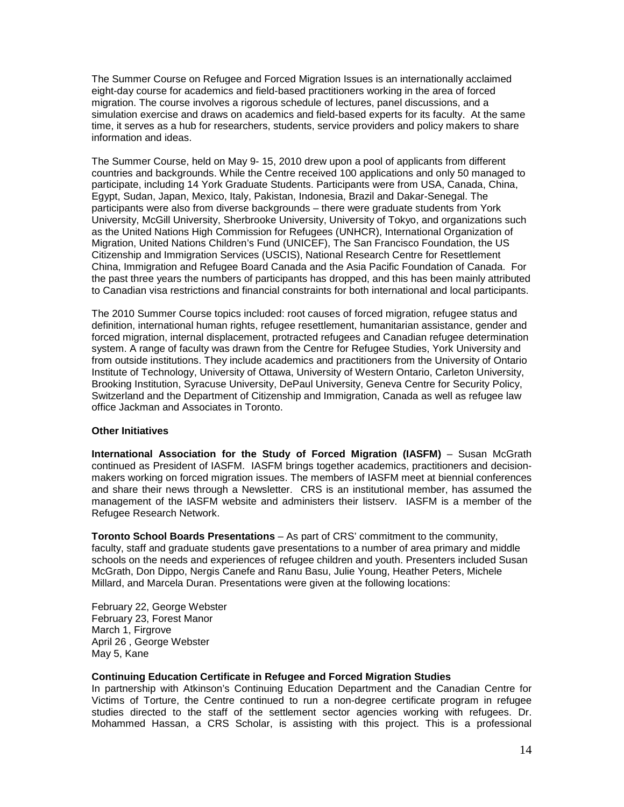The Summer Course on Refugee and Forced Migration Issues is an internationally acclaimed eight-day course for academics and field-based practitioners working in the area of forced migration. The course involves a rigorous schedule of lectures, panel discussions, and a simulation exercise and draws on academics and field-based experts for its faculty. At the same time, it serves as a hub for researchers, students, service providers and policy makers to share information and ideas.

The Summer Course, held on May 9- 15, 2010 drew upon a pool of applicants from different countries and backgrounds. While the Centre received 100 applications and only 50 managed to participate, including 14 York Graduate Students. Participants were from USA, Canada, China, Egypt, Sudan, Japan, Mexico, Italy, Pakistan, Indonesia, Brazil and Dakar-Senegal. The participants were also from diverse backgrounds – there were graduate students from York University, McGill University, Sherbrooke University, University of Tokyo, and organizations such as the United Nations High Commission for Refugees (UNHCR), International Organization of Migration, United Nations Children's Fund (UNICEF), The San Francisco Foundation, the US Citizenship and Immigration Services (USCIS), National Research Centre for Resettlement China, Immigration and Refugee Board Canada and the Asia Pacific Foundation of Canada. For the past three years the numbers of participants has dropped, and this has been mainly attributed to Canadian visa restrictions and financial constraints for both international and local participants.

The 2010 Summer Course topics included: root causes of forced migration, refugee status and definition, international human rights, refugee resettlement, humanitarian assistance, gender and forced migration, internal displacement, protracted refugees and Canadian refugee determination system. A range of faculty was drawn from the Centre for Refugee Studies, York University and from outside institutions. They include academics and practitioners from the University of Ontario Institute of Technology, University of Ottawa, University of Western Ontario, Carleton University, Brooking Institution, Syracuse University, DePaul University, Geneva Centre for Security Policy, Switzerland and the Department of Citizenship and Immigration, Canada as well as refugee law office Jackman and Associates in Toronto.

#### **Other Initiatives**

**International Association for the Study of Forced Migration (IASFM)** – Susan McGrath continued as President of IASFM. IASFM brings together academics, practitioners and decisionmakers working on forced migration issues. The members of IASFM meet at biennial conferences and share their news through a Newsletter. CRS is an institutional member, has assumed the management of the IASFM website and administers their listserv. IASFM is a member of the Refugee Research Network.

**Toronto School Boards Presentations** – As part of CRS' commitment to the community, faculty, staff and graduate students gave presentations to a number of area primary and middle schools on the needs and experiences of refugee children and youth. Presenters included Susan McGrath, Don Dippo, Nergis Canefe and Ranu Basu, Julie Young, Heather Peters, Michele Millard, and Marcela Duran. Presentations were given at the following locations:

February 22, George Webster February 23, Forest Manor March 1, Firgrove April 26 , George Webster May 5, Kane

#### **Continuing Education Certificate in Refugee and Forced Migration Studies**

In partnership with Atkinson's Continuing Education Department and the Canadian Centre for Victims of Torture, the Centre continued to run a non-degree certificate program in refugee studies directed to the staff of the settlement sector agencies working with refugees. Dr. Mohammed Hassan, a CRS Scholar, is assisting with this project. This is a professional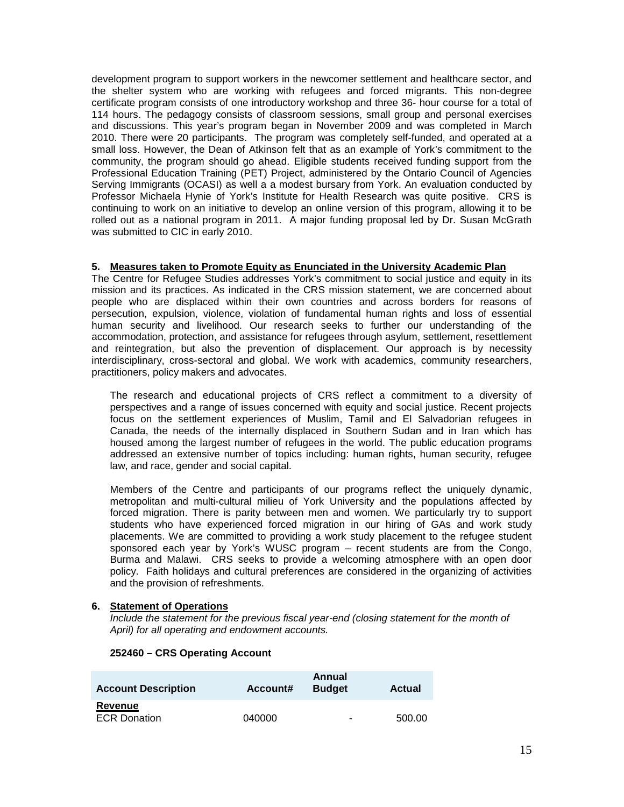development program to support workers in the newcomer settlement and healthcare sector, and the shelter system who are working with refugees and forced migrants. This non-degree certificate program consists of one introductory workshop and three 36- hour course for a total of 114 hours. The pedagogy consists of classroom sessions, small group and personal exercises and discussions. This year's program began in November 2009 and was completed in March 2010. There were 20 participants. The program was completely self-funded, and operated at a small loss. However, the Dean of Atkinson felt that as an example of York's commitment to the community, the program should go ahead. Eligible students received funding support from the Professional Education Training (PET) Project, administered by the Ontario Council of Agencies Serving Immigrants (OCASI) as well a a modest bursary from York. An evaluation conducted by Professor Michaela Hynie of York's Institute for Health Research was quite positive. CRS is continuing to work on an initiative to develop an online version of this program, allowing it to be rolled out as a national program in 2011. A major funding proposal led by Dr. Susan McGrath was submitted to CIC in early 2010.

#### **5. Measures taken to Promote Equity as Enunciated in the University Academic Plan**

The Centre for Refugee Studies addresses York's commitment to social justice and equity in its mission and its practices. As indicated in the CRS mission statement, we are concerned about people who are displaced within their own countries and across borders for reasons of persecution, expulsion, violence, violation of fundamental human rights and loss of essential human security and livelihood. Our research seeks to further our understanding of the accommodation, protection, and assistance for refugees through asylum, settlement, resettlement and reintegration, but also the prevention of displacement. Our approach is by necessity interdisciplinary, cross-sectoral and global. We work with academics, community researchers, practitioners, policy makers and advocates.

The research and educational projects of CRS reflect a commitment to a diversity of perspectives and a range of issues concerned with equity and social justice. Recent projects focus on the settlement experiences of Muslim, Tamil and El Salvadorian refugees in Canada, the needs of the internally displaced in Southern Sudan and in Iran which has housed among the largest number of refugees in the world. The public education programs addressed an extensive number of topics including: human rights, human security, refugee law, and race, gender and social capital.

Members of the Centre and participants of our programs reflect the uniquely dynamic, metropolitan and multi-cultural milieu of York University and the populations affected by forced migration. There is parity between men and women. We particularly try to support students who have experienced forced migration in our hiring of GAs and work study placements. We are committed to providing a work study placement to the refugee student sponsored each year by York's WUSC program – recent students are from the Congo, Burma and Malawi. CRS seeks to provide a welcoming atmosphere with an open door policy. Faith holidays and cultural preferences are considered in the organizing of activities and the provision of refreshments.

#### **6. Statement of Operations**

*Include the statement for the previous fiscal year-end (closing statement for the month of April) for all operating and endowment accounts.*

#### **252460 – CRS Operating Account**

| <b>Account Description</b> | Account# | Annual<br><b>Budget</b>  | <b>Actual</b> |
|----------------------------|----------|--------------------------|---------------|
| Revenue                    |          |                          |               |
| <b>ECR Donation</b>        | 040000   | $\overline{\phantom{0}}$ | 500.00        |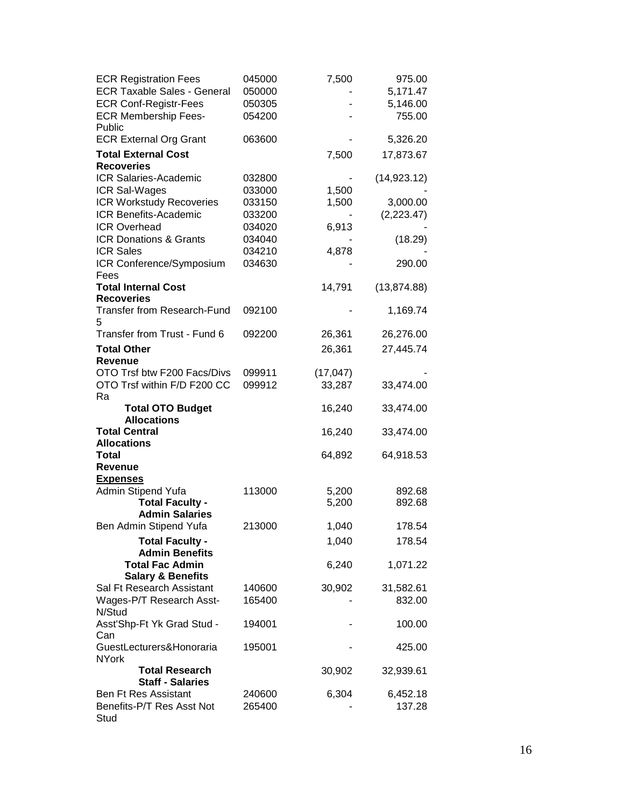| <b>ECR Registration Fees</b><br><b>ECR Taxable Sales - General</b><br><b>ECR Conf-Registr-Fees</b><br><b>ECR Membership Fees-</b><br>Public | 045000<br>050000<br>050305<br>054200 | 7,500     | 975.00<br>5,171.47<br>5,146.00<br>755.00 |
|---------------------------------------------------------------------------------------------------------------------------------------------|--------------------------------------|-----------|------------------------------------------|
| <b>ECR External Org Grant</b>                                                                                                               | 063600                               |           | 5,326.20                                 |
| <b>Total External Cost</b><br><b>Recoveries</b>                                                                                             |                                      | 7,500     | 17,873.67                                |
| <b>ICR Salaries-Academic</b>                                                                                                                | 032800                               |           | (14, 923.12)                             |
| ICR Sal-Wages                                                                                                                               | 033000                               | 1,500     |                                          |
| <b>ICR Workstudy Recoveries</b>                                                                                                             | 033150                               | 1,500     | 3,000.00                                 |
| <b>ICR Benefits-Academic</b>                                                                                                                | 033200                               |           | (2,223.47)                               |
| <b>ICR Overhead</b>                                                                                                                         | 034020                               | 6,913     |                                          |
| ICR Donations & Grants                                                                                                                      | 034040                               |           | (18.29)                                  |
| <b>ICR Sales</b>                                                                                                                            | 034210                               | 4,878     |                                          |
| ICR Conference/Symposium                                                                                                                    | 034630                               |           | 290.00                                   |
| Fees                                                                                                                                        |                                      |           |                                          |
| <b>Total Internal Cost</b>                                                                                                                  |                                      | 14,791    | (13, 874.88)                             |
| <b>Recoveries</b>                                                                                                                           |                                      |           |                                          |
| <b>Transfer from Research-Fund</b><br>5                                                                                                     | 092100                               |           | 1,169.74                                 |
| Transfer from Trust - Fund 6                                                                                                                | 092200                               | 26,361    | 26,276.00                                |
| <b>Total Other</b>                                                                                                                          |                                      | 26,361    | 27,445.74                                |
| <b>Revenue</b>                                                                                                                              |                                      |           |                                          |
| OTO Trsf btw F200 Facs/Divs                                                                                                                 | 099911                               | (17, 047) |                                          |
| OTO Trsf within F/D F200 CC                                                                                                                 | 099912                               | 33,287    | 33,474.00                                |
| Ra                                                                                                                                          |                                      |           |                                          |
| <b>Total OTO Budget</b><br><b>Allocations</b>                                                                                               |                                      | 16,240    | 33,474.00                                |
| <b>Total Central</b>                                                                                                                        |                                      | 16,240    | 33,474.00                                |
| <b>Allocations</b>                                                                                                                          |                                      |           |                                          |
| <b>Total</b>                                                                                                                                |                                      | 64,892    | 64,918.53                                |
| <b>Revenue</b>                                                                                                                              |                                      |           |                                          |
| <b>Expenses</b>                                                                                                                             |                                      |           |                                          |
| Admin Stipend Yufa                                                                                                                          | 113000                               | 5,200     | 892.68                                   |
| <b>Total Faculty -</b>                                                                                                                      |                                      | 5,200     | 892.68                                   |
| <b>Admin Salaries</b>                                                                                                                       |                                      |           |                                          |
| Ben Admin Stipend Yufa                                                                                                                      | 213000                               | 1,040     | 178.54                                   |
| <b>Total Faculty -</b><br><b>Admin Benefits</b>                                                                                             |                                      | 1,040     | 178.54                                   |
| <b>Total Fac Admin</b>                                                                                                                      |                                      | 6,240     | 1,071.22                                 |
| <b>Salary &amp; Benefits</b>                                                                                                                |                                      |           |                                          |
| Sal Ft Research Assistant                                                                                                                   | 140600                               | 30,902    | 31,582.61                                |
| Wages-P/T Research Asst-<br>N/Stud                                                                                                          | 165400                               |           | 832.00                                   |
| Asst'Shp-Ft Yk Grad Stud -<br>Can                                                                                                           | 194001                               |           | 100.00                                   |
| GuestLecturers&Honoraria<br><b>NYork</b>                                                                                                    | 195001                               |           | 425.00                                   |
| <b>Total Research</b><br><b>Staff - Salaries</b>                                                                                            |                                      | 30,902    | 32,939.61                                |
| <b>Ben Ft Res Assistant</b>                                                                                                                 | 240600                               | 6,304     | 6,452.18                                 |
| Benefits-P/T Res Asst Not<br>Stud                                                                                                           | 265400                               |           | 137.28                                   |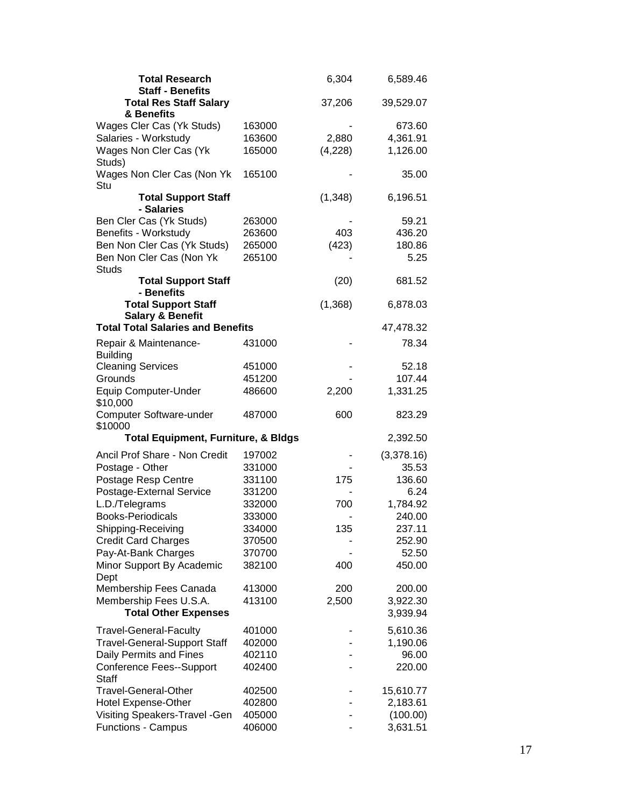| <b>Total Research</b><br><b>Staff - Benefits</b>          |        | 6,304    | 6,589.46   |
|-----------------------------------------------------------|--------|----------|------------|
| <b>Total Res Staff Salary</b><br>& Benefits               |        | 37,206   | 39,529.07  |
| Wages Cler Cas (Yk Studs)                                 | 163000 |          | 673.60     |
| Salaries - Workstudy                                      | 163600 | 2,880    | 4,361.91   |
| Wages Non Cler Cas (Yk                                    | 165000 | (4,228)  | 1,126.00   |
| Studs)                                                    |        |          |            |
| Wages Non Cler Cas (Non Yk<br>Stu                         | 165100 |          | 35.00      |
| <b>Total Support Staff</b><br>- Salaries                  |        | (1, 348) | 6,196.51   |
| Ben Cler Cas (Yk Studs)                                   | 263000 |          | 59.21      |
| Benefits - Workstudy                                      | 263600 | 403      | 436.20     |
| Ben Non Cler Cas (Yk Studs)                               | 265000 | (423)    | 180.86     |
| Ben Non Cler Cas (Non Yk                                  | 265100 |          | 5.25       |
| Studs<br><b>Total Support Staff</b>                       |        | (20)     | 681.52     |
| - Benefits                                                |        |          |            |
| <b>Total Support Staff</b><br><b>Salary &amp; Benefit</b> |        | (1,368)  | 6,878.03   |
| <b>Total Total Salaries and Benefits</b>                  |        |          | 47,478.32  |
| Repair & Maintenance-<br><b>Building</b>                  | 431000 |          | 78.34      |
| <b>Cleaning Services</b>                                  | 451000 |          | 52.18      |
| Grounds                                                   | 451200 |          | 107.44     |
| <b>Equip Computer-Under</b><br>\$10,000                   | 486600 | 2,200    | 1,331.25   |
| Computer Software-under<br>\$10000                        | 487000 | 600      | 823.29     |
| <b>Total Equipment, Furniture, &amp; Bldgs</b>            |        |          | 2,392.50   |
| Ancil Prof Share - Non Credit                             | 197002 |          | (3,378.16) |
| Postage - Other                                           | 331000 |          | 35.53      |
| Postage Resp Centre                                       | 331100 | 175      | 136.60     |
| Postage-External Service                                  | 331200 |          | 6.24       |
| L.D./Telegrams                                            | 332000 | 700      | 1,784.92   |
| <b>Books-Periodicals</b>                                  | 333000 |          | 240.00     |
| Shipping-Receiving                                        | 334000 | 135      | 237.11     |
| <b>Credit Card Charges</b>                                | 370500 |          | 252.90     |
| Pay-At-Bank Charges                                       | 370700 |          | 52.50      |
| Minor Support By Academic<br>Dept                         | 382100 | 400      | 450.00     |
| Membership Fees Canada                                    | 413000 | 200      | 200.00     |
| Membership Fees U.S.A.                                    | 413100 | 2,500    | 3,922.30   |
| <b>Total Other Expenses</b>                               |        |          | 3,939.94   |
|                                                           |        |          |            |
| <b>Travel-General-Faculty</b>                             | 401000 |          | 5,610.36   |
| <b>Travel-General-Support Staff</b>                       | 402000 |          | 1,190.06   |
| Daily Permits and Fines                                   | 402110 |          | 96.00      |
| Conference Fees--Support<br><b>Staff</b>                  | 402400 |          | 220.00     |
| <b>Travel-General-Other</b>                               | 402500 |          | 15,610.77  |
| Hotel Expense-Other                                       | 402800 |          | 2,183.61   |
| Visiting Speakers-Travel - Gen                            | 405000 |          | (100.00)   |
| <b>Functions - Campus</b>                                 | 406000 |          | 3,631.51   |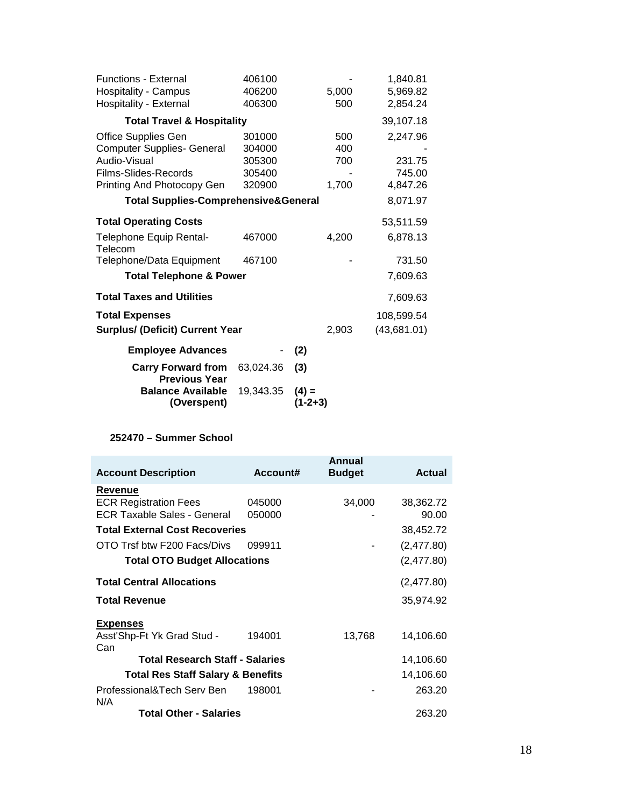| 406100                                 |         |                                                 | 1,840.81    |
|----------------------------------------|---------|-------------------------------------------------|-------------|
| 406200                                 |         | 5,000                                           | 5,969.82    |
| 406300                                 |         | 500                                             | 2,854.24    |
| <b>Total Travel &amp; Hospitality</b>  |         |                                                 | 39,107.18   |
| 301000                                 |         | 500                                             | 2,247.96    |
| 304000                                 |         | 400                                             |             |
| 305300                                 |         | 700                                             | 231.75      |
| 305400                                 |         |                                                 | 745.00      |
| 320900                                 |         | 1,700                                           | 4,847.26    |
|                                        |         |                                                 | 8,071.97    |
|                                        |         |                                                 | 53,511.59   |
| 467000                                 |         | 4,200                                           | 6,878.13    |
| 467100                                 |         |                                                 | 731.50      |
| <b>Total Telephone &amp; Power</b>     |         |                                                 | 7,609.63    |
|                                        |         |                                                 | 7,609.63    |
|                                        |         |                                                 | 108,599.54  |
| <b>Surplus/ (Deficit) Current Year</b> |         | 2,903                                           | (43,681.01) |
|                                        | (2)     |                                                 |             |
| 63,024.36                              | (3)     |                                                 |             |
| 19,343.35                              | $(4) =$ |                                                 |             |
|                                        |         | <b>Total Supplies-Comprehensive&amp;General</b> | $(1-2+3)$   |

# **252470 – Summer School**

| <b>Account Description</b>                   | Account# | Annual<br><b>Budget</b> | <b>Actual</b> |
|----------------------------------------------|----------|-------------------------|---------------|
| Revenue                                      |          |                         |               |
| <b>ECR Registration Fees</b>                 | 045000   | 34,000                  | 38,362.72     |
| <b>ECR Taxable Sales - General</b>           | 050000   |                         | 90.00         |
| <b>Total External Cost Recoveries</b>        |          |                         | 38,452.72     |
| OTO Trsf btw F200 Facs/Divs                  | 099911   |                         | (2,477.80)    |
| <b>Total OTO Budget Allocations</b>          |          |                         | (2,477.80)    |
| <b>Total Central Allocations</b>             |          |                         | (2,477.80)    |
| <b>Total Revenue</b>                         |          |                         | 35,974.92     |
| <b>Expenses</b>                              |          |                         |               |
| Asst'Shp-Ft Yk Grad Stud -<br>Can            | 194001   | 13,768                  | 14,106.60     |
| <b>Total Research Staff - Salaries</b>       |          |                         | 14,106.60     |
| <b>Total Res Staff Salary &amp; Benefits</b> |          |                         | 14,106.60     |
| Professional&Tech Serv Ben<br>N/A            | 198001   |                         | 263.20        |
| <b>Total Other - Salaries</b>                |          |                         | 263.20        |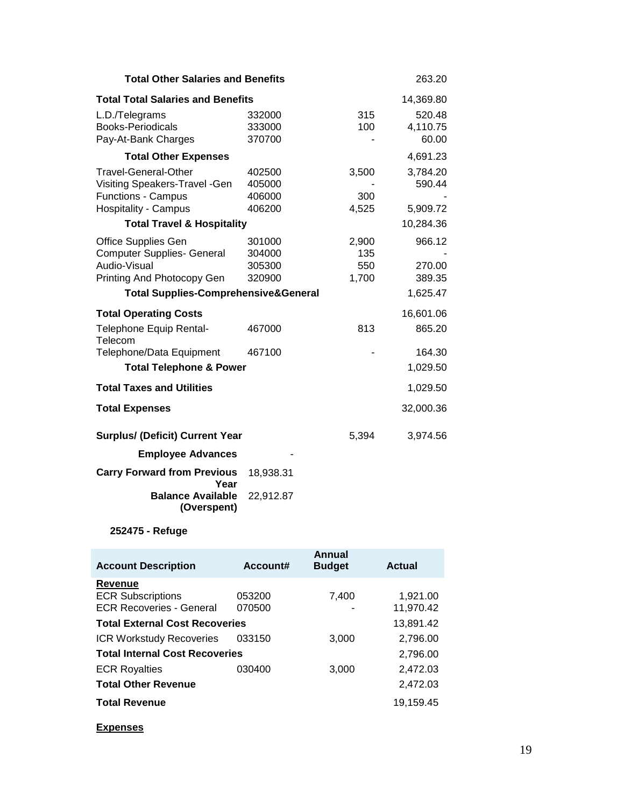| <b>Total Other Salaries and Benefits</b>          |                  |              | 263.20             |
|---------------------------------------------------|------------------|--------------|--------------------|
| <b>Total Total Salaries and Benefits</b>          |                  | 14,369.80    |                    |
| L.D./Telegrams<br><b>Books-Periodicals</b>        | 332000<br>333000 | 315<br>100   | 520.48<br>4,110.75 |
| Pay-At-Bank Charges                               | 370700           |              | 60.00              |
| <b>Total Other Expenses</b>                       |                  |              | 4,691.23           |
| <b>Travel-General-Other</b>                       | 402500           | 3,500        | 3,784.20           |
| Visiting Speakers-Travel -Gen                     | 405000<br>406000 |              | 590.44             |
| Functions - Campus<br><b>Hospitality - Campus</b> | 406200           | 300<br>4,525 | 5,909.72           |
| <b>Total Travel &amp; Hospitality</b>             |                  |              | 10,284.36          |
| Office Supplies Gen                               | 301000           | 2,900        | 966.12             |
| <b>Computer Supplies- General</b>                 | 304000           | 135          |                    |
| Audio-Visual                                      | 305300           | 550          | 270.00             |
| Printing And Photocopy Gen                        | 320900           | 1,700        | 389.35             |
| <b>Total Supplies-Comprehensive&amp;General</b>   |                  |              | 1,625.47           |
| <b>Total Operating Costs</b>                      |                  |              | 16,601.06          |
| Telephone Equip Rental-<br>Telecom                | 467000           | 813          | 865.20             |
| Telephone/Data Equipment                          | 467100           |              | 164.30             |
| <b>Total Telephone &amp; Power</b>                |                  |              | 1,029.50           |
| <b>Total Taxes and Utilities</b>                  |                  |              | 1,029.50           |
| <b>Total Expenses</b>                             |                  |              | 32,000.36          |
| <b>Surplus/ (Deficit) Current Year</b>            |                  | 5,394        | 3,974.56           |
| <b>Employee Advances</b>                          |                  |              |                    |
| <b>Carry Forward from Previous</b><br>Year        | 18,938.31        |              |                    |
| <b>Balance Available</b><br>(Overspent)           | 22,912.87        |              |                    |

# **252475 - Refuge**

| <b>Account Description</b>            | Account# | Annual<br><b>Budget</b> | <b>Actual</b> |
|---------------------------------------|----------|-------------------------|---------------|
| Revenue                               |          |                         |               |
| <b>ECR Subscriptions</b>              | 053200   | 7,400                   | 1,921.00      |
| <b>ECR Recoveries - General</b>       | 070500   |                         | 11,970.42     |
| <b>Total External Cost Recoveries</b> |          |                         | 13,891.42     |
| <b>ICR Workstudy Recoveries</b>       | 033150   | 3,000                   | 2,796.00      |
| <b>Total Internal Cost Recoveries</b> |          |                         | 2,796.00      |
| <b>ECR Royalties</b>                  | 030400   | 3,000                   | 2,472.03      |
| <b>Total Other Revenue</b>            |          |                         | 2,472.03      |
| <b>Total Revenue</b>                  |          |                         | 19,159.45     |
| <b>Expenses</b>                       |          |                         |               |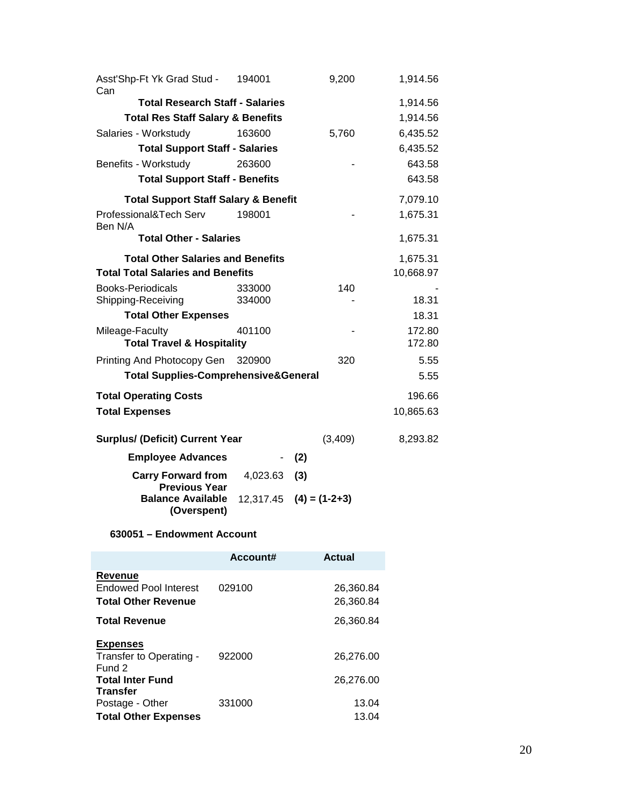| Asst'Shp-Ft Yk Grad Stud -<br>Can                        | 194001                   | 9,200                     | 1,914.56         |
|----------------------------------------------------------|--------------------------|---------------------------|------------------|
| <b>Total Research Staff - Salaries</b>                   |                          |                           | 1,914.56         |
| <b>Total Res Staff Salary &amp; Benefits</b>             |                          |                           | 1,914.56         |
| Salaries - Workstudy                                     | 163600                   | 5,760                     | 6,435.52         |
| <b>Total Support Staff - Salaries</b>                    |                          |                           | 6,435.52         |
| Benefits - Workstudy                                     | 263600                   |                           | 643.58           |
| <b>Total Support Staff - Benefits</b>                    |                          |                           | 643.58           |
| <b>Total Support Staff Salary &amp; Benefit</b>          |                          |                           | 7,079.10         |
| Professional&Tech Serv<br>Ben N/A                        | 198001                   |                           | 1,675.31         |
| <b>Total Other - Salaries</b>                            |                          |                           | 1,675.31         |
| <b>Total Other Salaries and Benefits</b>                 |                          |                           | 1,675.31         |
| <b>Total Total Salaries and Benefits</b>                 |                          |                           | 10,668.97        |
| <b>Books-Periodicals</b>                                 | 333000                   | 140                       |                  |
| Shipping-Receiving                                       | 334000                   |                           | 18.31            |
| <b>Total Other Expenses</b>                              |                          |                           | 18.31            |
| Mileage-Faculty<br><b>Total Travel &amp; Hospitality</b> | 401100                   |                           | 172.80<br>172.80 |
| Printing And Photocopy Gen 320900                        |                          | 320                       | 5.55             |
| <b>Total Supplies-Comprehensive&amp;General</b>          |                          |                           | 5.55             |
| <b>Total Operating Costs</b>                             |                          |                           | 196.66           |
| <b>Total Expenses</b>                                    |                          |                           | 10,865.63        |
| <b>Surplus/ (Deficit) Current Year</b>                   |                          | (3,409)                   | 8,293.82         |
| <b>Employee Advances</b>                                 | $\overline{\phantom{0}}$ | (2)                       |                  |
| <b>Carry Forward from</b><br><b>Previous Year</b>        | 4,023.63                 | (3)                       |                  |
| <b>Balance Available</b><br>(Overspent)                  |                          | $12,317.45$ (4) = (1-2+3) |                  |

# **630051 – Endowment Account**

|                                                                                 | Account# | <b>Actual</b>          |
|---------------------------------------------------------------------------------|----------|------------------------|
| Revenue<br>Endowed Pool Interest<br><b>Total Other Revenue</b>                  | 029100   | 26,360.84<br>26,360.84 |
| <b>Total Revenue</b>                                                            |          | 26,360.84              |
| <b>Expenses</b><br>Transfer to Operating -<br>Fund 2<br><b>Total Inter Fund</b> | 922000   | 26,276.00<br>26,276.00 |
| <b>Transfer</b><br>Postage - Other<br><b>Total Other Expenses</b>               | 331000   | 13.04<br>13.04         |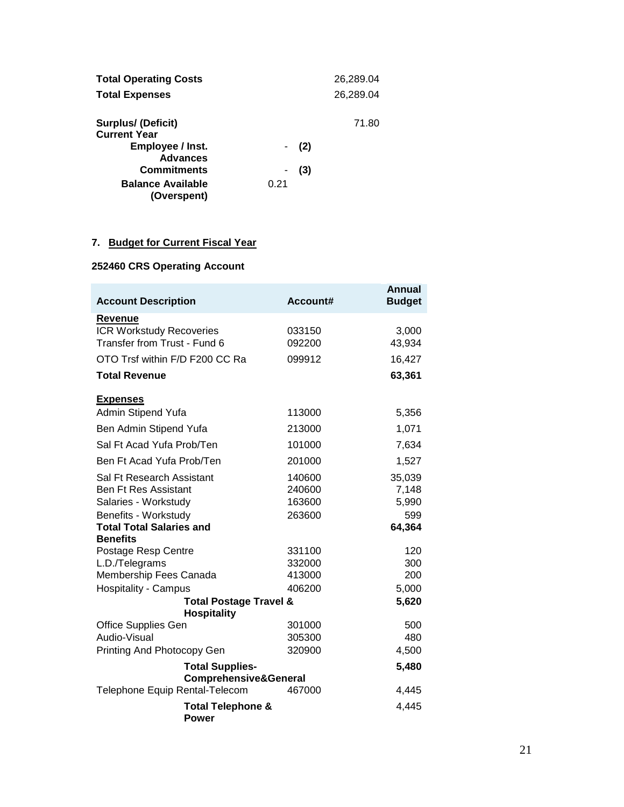| <b>Total Operating Costs</b> |      |       | 26,289.04 |
|------------------------------|------|-------|-----------|
| <b>Total Expenses</b>        |      |       | 26,289.04 |
| <b>Surplus/ (Deficit)</b>    |      |       | 71.80     |
| <b>Current Year</b>          |      |       |           |
| Employee / Inst.             |      | - (2) |           |
| <b>Advances</b>              |      |       |           |
| <b>Commitments</b>           |      | (3)   |           |
| <b>Balance Available</b>     | 0.21 |       |           |
| (Overspent)                  |      |       |           |

# **7. Budget for Current Fiscal Year**

# **252460 CRS Operating Account**

| <b>Account Description</b>                              | Account# | <b>Annual</b><br><b>Budget</b> |
|---------------------------------------------------------|----------|--------------------------------|
| Revenue                                                 |          |                                |
| <b>ICR Workstudy Recoveries</b>                         | 033150   | 3,000                          |
| Transfer from Trust - Fund 6                            | 092200   | 43,934                         |
| OTO Trsf within F/D F200 CC Ra                          | 099912   | 16,427                         |
| <b>Total Revenue</b>                                    |          | 63,361                         |
| <b>Expenses</b>                                         |          |                                |
| Admin Stipend Yufa                                      | 113000   | 5,356                          |
| Ben Admin Stipend Yufa                                  | 213000   | 1,071                          |
| Sal Ft Acad Yufa Prob/Ten                               | 101000   | 7,634                          |
| Ben Ft Acad Yufa Prob/Ten                               | 201000   | 1,527                          |
| Sal Ft Research Assistant                               | 140600   | 35,039                         |
| <b>Ben Ft Res Assistant</b>                             | 240600   | 7,148                          |
| Salaries - Workstudy                                    | 163600   | 5,990                          |
| Benefits - Workstudy                                    | 263600   | 599                            |
| <b>Total Total Salaries and</b><br><b>Benefits</b>      |          | 64,364                         |
| Postage Resp Centre                                     | 331100   | 120                            |
| L.D./Telegrams                                          | 332000   | 300                            |
| Membership Fees Canada                                  | 413000   | 200                            |
| <b>Hospitality - Campus</b>                             | 406200   | 5,000                          |
| <b>Total Postage Travel &amp;</b><br><b>Hospitality</b> |          | 5,620                          |
| <b>Office Supplies Gen</b>                              | 301000   | 500                            |
| Audio-Visual                                            | 305300   | 480                            |
| Printing And Photocopy Gen                              | 320900   | 4,500                          |
| <b>Total Supplies-</b>                                  |          | 5,480                          |
| <b>Comprehensive&amp;General</b>                        |          |                                |
| Telephone Equip Rental-Telecom                          | 467000   | 4,445                          |
| <b>Total Telephone &amp;</b><br><b>Power</b>            |          | 4,445                          |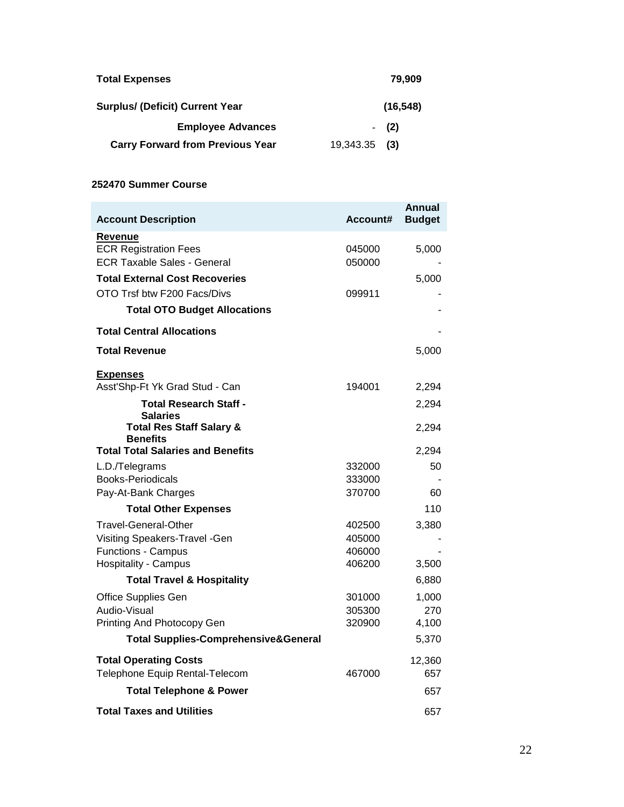| <b>Total Expenses</b>                   |                 | 79.909    |
|-----------------------------------------|-----------------|-----------|
| <b>Surplus/ (Deficit) Current Year</b>  |                 | (16, 548) |
| <b>Employee Advances</b>                |                 | $-$ (2)   |
| <b>Carry Forward from Previous Year</b> | $19,343.35$ (3) |           |

#### **252470 Summer Course**

| <b>Account Description</b>                             | Account# | Annual<br><b>Budget</b> |
|--------------------------------------------------------|----------|-------------------------|
|                                                        |          |                         |
| Revenue<br><b>ECR Registration Fees</b>                | 045000   | 5,000                   |
| <b>ECR Taxable Sales - General</b>                     | 050000   |                         |
| <b>Total External Cost Recoveries</b>                  |          | 5,000                   |
| OTO Trsf btw F200 Facs/Divs                            | 099911   |                         |
| <b>Total OTO Budget Allocations</b>                    |          |                         |
| <b>Total Central Allocations</b>                       |          |                         |
| <b>Total Revenue</b>                                   |          | 5,000                   |
| <b>Expenses</b>                                        |          |                         |
| Asst'Shp-Ft Yk Grad Stud - Can                         | 194001   | 2,294                   |
| <b>Total Research Staff -</b><br><b>Salaries</b>       |          | 2,294                   |
| <b>Total Res Staff Salary &amp;</b><br><b>Benefits</b> |          | 2,294                   |
| <b>Total Total Salaries and Benefits</b>               |          | 2,294                   |
| L.D./Telegrams                                         | 332000   | 50                      |
| <b>Books-Periodicals</b>                               | 333000   |                         |
| Pay-At-Bank Charges                                    | 370700   | 60                      |
| <b>Total Other Expenses</b>                            |          | 110                     |
| Travel-General-Other                                   | 402500   | 3,380                   |
| Visiting Speakers-Travel -Gen                          | 405000   |                         |
| Functions - Campus                                     | 406000   |                         |
| <b>Hospitality - Campus</b>                            | 406200   | 3,500                   |
| <b>Total Travel &amp; Hospitality</b>                  |          | 6,880                   |
| <b>Office Supplies Gen</b>                             | 301000   | 1,000                   |
| Audio-Visual                                           | 305300   | 270                     |
| Printing And Photocopy Gen                             | 320900   | 4,100                   |
| <b>Total Supplies-Comprehensive&amp;General</b>        |          | 5,370                   |
| <b>Total Operating Costs</b>                           |          | 12,360                  |
| Telephone Equip Rental-Telecom                         | 467000   | 657                     |
| <b>Total Telephone &amp; Power</b>                     |          | 657                     |
| <b>Total Taxes and Utilities</b>                       |          | 657                     |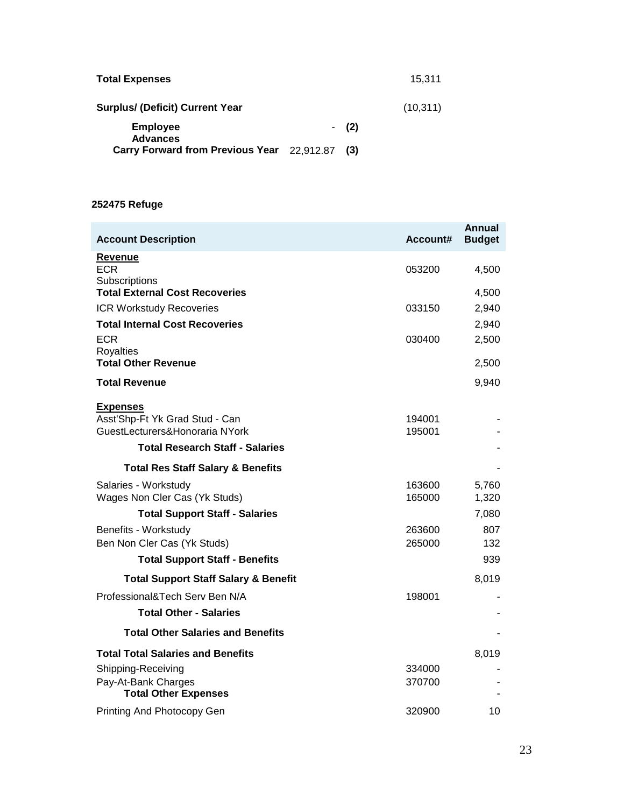| <b>Total Expenses</b>                          |         | 15.311    |
|------------------------------------------------|---------|-----------|
| <b>Surplus/ (Deficit) Current Year</b>         |         | (10, 311) |
| <b>Employee</b><br><b>Advances</b>             | $-$ (2) |           |
| Carry Forward from Previous Year 22,912.87 (3) |         |           |

# **252475 Refuge**

| <b>Account Description</b>                          | Account#         | Annual<br><b>Budget</b> |
|-----------------------------------------------------|------------------|-------------------------|
| Revenue                                             |                  |                         |
| ECR.<br>Subscriptions                               | 053200           | 4,500                   |
| <b>Total External Cost Recoveries</b>               |                  | 4,500                   |
| <b>ICR Workstudy Recoveries</b>                     | 033150           | 2,940                   |
| <b>Total Internal Cost Recoveries</b>               |                  | 2,940                   |
| ECR                                                 | 030400           | 2,500                   |
| <b>Royalties</b><br><b>Total Other Revenue</b>      |                  | 2,500                   |
| <b>Total Revenue</b>                                |                  | 9,940                   |
| <u>Expenses</u>                                     |                  |                         |
| Asst'Shp-Ft Yk Grad Stud - Can                      | 194001           |                         |
| GuestLecturers&Honoraria NYork                      | 195001           |                         |
| <b>Total Research Staff - Salaries</b>              |                  |                         |
| <b>Total Res Staff Salary &amp; Benefits</b>        |                  |                         |
| Salaries - Workstudy                                | 163600           | 5,760                   |
| Wages Non Cler Cas (Yk Studs)                       | 165000           | 1,320                   |
| <b>Total Support Staff - Salaries</b>               |                  | 7,080                   |
| Benefits - Workstudy<br>Ben Non Cler Cas (Yk Studs) | 263600<br>265000 | 807<br>132              |
| <b>Total Support Staff - Benefits</b>               |                  | 939                     |
| <b>Total Support Staff Salary &amp; Benefit</b>     |                  | 8,019                   |
| Professional&Tech Serv Ben N/A                      | 198001           |                         |
| <b>Total Other - Salaries</b>                       |                  |                         |
| <b>Total Other Salaries and Benefits</b>            |                  |                         |
| <b>Total Total Salaries and Benefits</b>            |                  | 8,019                   |
| Shipping-Receiving                                  | 334000           |                         |
| Pay-At-Bank Charges<br><b>Total Other Expenses</b>  | 370700           |                         |
| Printing And Photocopy Gen                          | 320900           | 10                      |